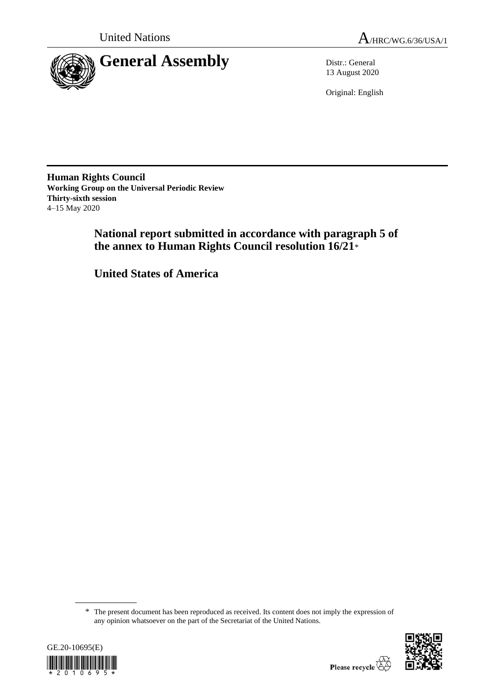



13 August 2020

Original: English

**Human Rights Council Working Group on the Universal Periodic Review Thirty-sixth session** 4–15 May 2020

> **National report submitted in accordance with paragraph 5 of the annex to Human Rights Council resolution 16/21**\*

**United States of America**

<sup>\*</sup> The present document has been reproduced as received. Its content does not imply the expression of any opinion whatsoever on the part of the Secretariat of the United Nations.



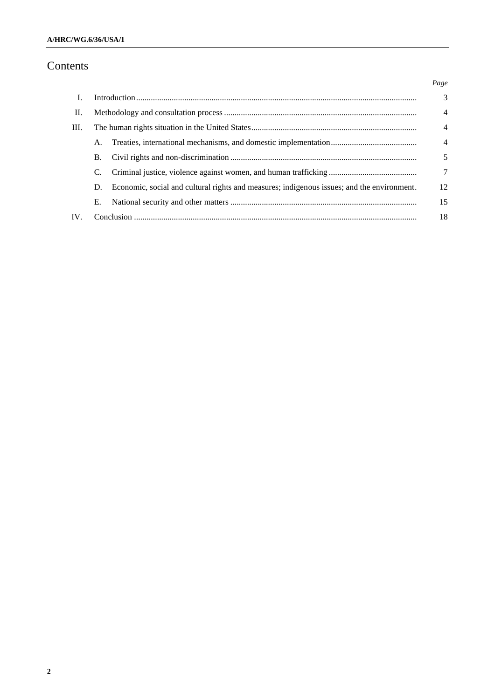# Contents

|      |    |                                                                                            | Page           |
|------|----|--------------------------------------------------------------------------------------------|----------------|
| L.   |    |                                                                                            | $\overline{3}$ |
| П.   |    |                                                                                            | $\overline{4}$ |
| III. |    |                                                                                            | $\overline{4}$ |
|      | A. |                                                                                            | $\overline{4}$ |
|      | В. |                                                                                            | 5              |
|      | C. |                                                                                            | 7              |
|      | D. | Economic, social and cultural rights and measures; indigenous issues; and the environment. | 12             |
|      | Е. |                                                                                            | 15             |
| IV.  |    |                                                                                            | 18             |
|      |    |                                                                                            |                |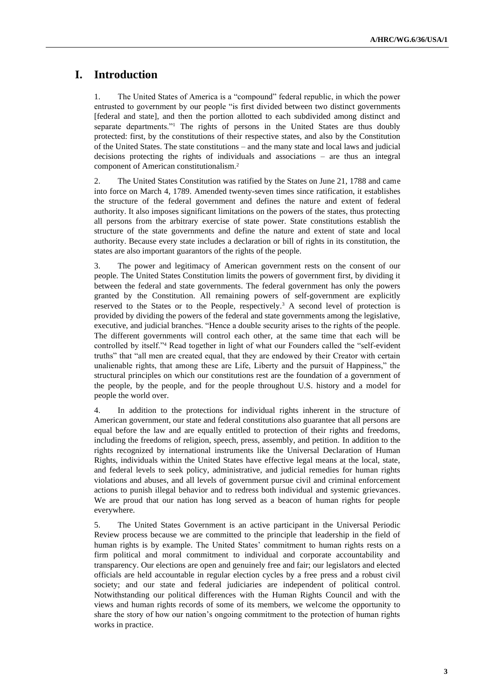# **I. Introduction**

1. The United States of America is a "compound" federal republic, in which the power entrusted to government by our people "is first divided between two distinct governments [federal and state], and then the portion allotted to each subdivided among distinct and separate departments."<sup>1</sup> The rights of persons in the United States are thus doubly protected: first, by the constitutions of their respective states, and also by the Constitution of the United States. The state constitutions – and the many state and local laws and judicial decisions protecting the rights of individuals and associations – are thus an integral component of American constitutionalism.<sup>2</sup>

2. The United States Constitution was ratified by the States on June 21, 1788 and came into force on March 4, 1789. Amended twenty-seven times since ratification, it establishes the structure of the federal government and defines the nature and extent of federal authority. It also imposes significant limitations on the powers of the states, thus protecting all persons from the arbitrary exercise of state power. State constitutions establish the structure of the state governments and define the nature and extent of state and local authority. Because every state includes a declaration or bill of rights in its constitution, the states are also important guarantors of the rights of the people.

3. The power and legitimacy of American government rests on the consent of our people. The United States Constitution limits the powers of government first, by dividing it between the federal and state governments. The federal government has only the powers granted by the Constitution. All remaining powers of self-government are explicitly reserved to the States or to the People, respectively.<sup>3</sup> A second level of protection is provided by dividing the powers of the federal and state governments among the legislative, executive, and judicial branches. "Hence a double security arises to the rights of the people. The different governments will control each other, at the same time that each will be controlled by itself."<sup>4</sup> Read together in light of what our Founders called the "self-evident truths" that "all men are created equal, that they are endowed by their Creator with certain unalienable rights, that among these are Life, Liberty and the pursuit of Happiness," the structural principles on which our constitutions rest are the foundation of a government of the people, by the people, and for the people throughout U.S. history and a model for people the world over.

4. In addition to the protections for individual rights inherent in the structure of American government, our state and federal constitutions also guarantee that all persons are equal before the law and are equally entitled to protection of their rights and freedoms, including the freedoms of religion, speech, press, assembly, and petition. In addition to the rights recognized by international instruments like the Universal Declaration of Human Rights, individuals within the United States have effective legal means at the local, state, and federal levels to seek policy, administrative, and judicial remedies for human rights violations and abuses, and all levels of government pursue civil and criminal enforcement actions to punish illegal behavior and to redress both individual and systemic grievances. We are proud that our nation has long served as a beacon of human rights for people everywhere.

5. The United States Government is an active participant in the Universal Periodic Review process because we are committed to the principle that leadership in the field of human rights is by example. The United States' commitment to human rights rests on a firm political and moral commitment to individual and corporate accountability and transparency. Our elections are open and genuinely free and fair; our legislators and elected officials are held accountable in regular election cycles by a free press and a robust civil society; and our state and federal judiciaries are independent of political control. Notwithstanding our political differences with the Human Rights Council and with the views and human rights records of some of its members, we welcome the opportunity to share the story of how our nation's ongoing commitment to the protection of human rights works in practice.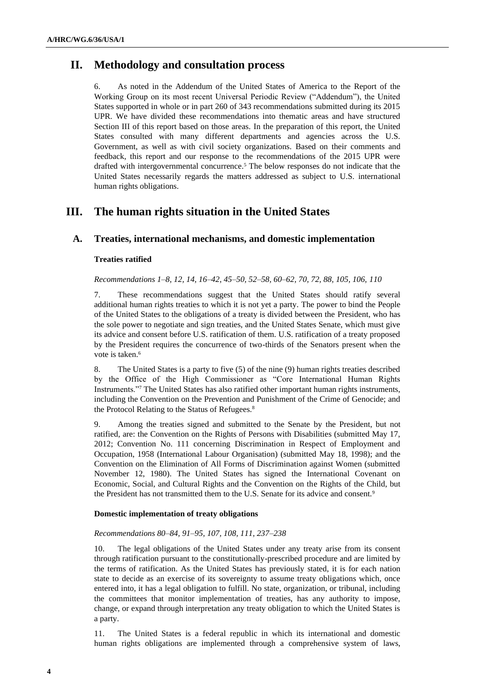# **II. Methodology and consultation process**

6. As noted in the Addendum of the United States of America to the Report of the Working Group on its most recent Universal Periodic Review ("Addendum"), the United States supported in whole or in part 260 of 343 recommendations submitted during its 2015 UPR. We have divided these recommendations into thematic areas and have structured Section III of this report based on those areas. In the preparation of this report, the United States consulted with many different departments and agencies across the U.S. Government, as well as with civil society organizations. Based on their comments and feedback, this report and our response to the recommendations of the 2015 UPR were drafted with intergovernmental concurrence.<sup>5</sup> The below responses do not indicate that the United States necessarily regards the matters addressed as subject to U.S. international human rights obligations.

# **III. The human rights situation in the United States**

# **A. Treaties, international mechanisms, and domestic implementation**

## **Treaties ratified**

*Recommendations 1–8, 12, 14, 16–42, 45–50, 52–58, 60–62, 70, 72, 88, 105, 106, 110*

7. These recommendations suggest that the United States should ratify several additional human rights treaties to which it is not yet a party. The power to bind the People of the United States to the obligations of a treaty is divided between the President, who has the sole power to negotiate and sign treaties, and the United States Senate, which must give its advice and consent before U.S. ratification of them. U.S. ratification of a treaty proposed by the President requires the concurrence of two-thirds of the Senators present when the vote is taken.<sup>6</sup>

8. The United States is a party to five (5) of the nine (9) human rights treaties described by the Office of the High Commissioner as "Core International Human Rights Instruments."<sup>7</sup> The United States has also ratified other important human rights instruments, including the Convention on the Prevention and Punishment of the Crime of Genocide; and the Protocol Relating to the Status of Refugees.<sup>8</sup>

9. Among the treaties signed and submitted to the Senate by the President, but not ratified, are: the Convention on the Rights of Persons with Disabilities (submitted May 17, 2012; Convention No. 111 concerning Discrimination in Respect of Employment and Occupation, 1958 (International Labour Organisation) (submitted May 18, 1998); and the Convention on the Elimination of All Forms of Discrimination against Women (submitted November 12, 1980). The United States has signed the International Covenant on Economic, Social, and Cultural Rights and the Convention on the Rights of the Child, but the President has not transmitted them to the U.S. Senate for its advice and consent.<sup>9</sup>

## **Domestic implementation of treaty obligations**

## *Recommendations 80–84, 91–95, 107, 108, 111, 237–238*

10. The legal obligations of the United States under any treaty arise from its consent through ratification pursuant to the constitutionally-prescribed procedure and are limited by the terms of ratification. As the United States has previously stated, it is for each nation state to decide as an exercise of its sovereignty to assume treaty obligations which, once entered into, it has a legal obligation to fulfill. No state, organization, or tribunal, including the committees that monitor implementation of treaties, has any authority to impose, change, or expand through interpretation any treaty obligation to which the United States is a party.

11. The United States is a federal republic in which its international and domestic human rights obligations are implemented through a comprehensive system of laws,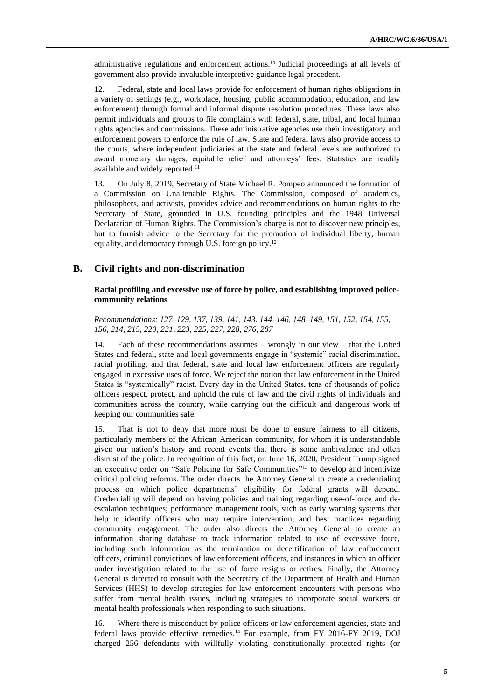administrative regulations and enforcement actions.<sup>10</sup> Judicial proceedings at all levels of government also provide invaluable interpretive guidance legal precedent.

12. Federal, state and local laws provide for enforcement of human rights obligations in a variety of settings (e.g., workplace, housing, public accommodation, education, and law enforcement) through formal and informal dispute resolution procedures. These laws also permit individuals and groups to file complaints with federal, state, tribal, and local human rights agencies and commissions. These administrative agencies use their investigatory and enforcement powers to enforce the rule of law. State and federal laws also provide access to the courts, where independent judiciaries at the state and federal levels are authorized to award monetary damages, equitable relief and attorneys' fees. Statistics are readily available and widely reported.<sup>11</sup>

13. On July 8, 2019, Secretary of State Michael R. Pompeo announced the formation of a Commission on Unalienable Rights. The Commission, composed of academics, philosophers, and activists, provides advice and recommendations on human rights to the Secretary of State, grounded in U.S. founding principles and the 1948 Universal Declaration of Human Rights. The Commission's charge is not to discover new principles, but to furnish advice to the Secretary for the promotion of individual liberty, human equality, and democracy through U.S. foreign policy.<sup>12</sup>

# **B. Civil rights and non-discrimination**

## **Racial profiling and excessive use of force by police, and establishing improved policecommunity relations**

*Recommendations: 127–129, 137, 139, 141, 143. 144–146, 148–149, 151, 152, 154, 155, 156, 214, 215, 220, 221, 223, 225, 227, 228, 276, 287*

14. Each of these recommendations assumes – wrongly in our view – that the United States and federal, state and local governments engage in "systemic" racial discrimination, racial profiling, and that federal, state and local law enforcement officers are regularly engaged in excessive uses of force. We reject the notion that law enforcement in the United States is "systemically" racist. Every day in the United States, tens of thousands of police officers respect, protect, and uphold the rule of law and the civil rights of individuals and communities across the country, while carrying out the difficult and dangerous work of keeping our communities safe.

15. That is not to deny that more must be done to ensure fairness to all citizens, particularly members of the African American community, for whom it is understandable given our nation's history and recent events that there is some ambivalence and often distrust of the police. In recognition of this fact, on June 16, 2020, President Trump signed an executive order on "Safe Policing for Safe Communities"<sup>13</sup> to develop and incentivize critical policing reforms. The order directs the Attorney General to create a credentialing process on which police departments' eligibility for federal grants will depend. Credentialing will depend on having policies and training regarding use-of-force and deescalation techniques; performance management tools, such as early warning systems that help to identify officers who may require intervention; and best practices regarding community engagement. The order also directs the Attorney General to create an information sharing database to track information related to use of excessive force, including such information as the termination or decertification of law enforcement officers, criminal convictions of law enforcement officers, and instances in which an officer under investigation related to the use of force resigns or retires. Finally, the Attorney General is directed to consult with the Secretary of the Department of Health and Human Services (HHS) to develop strategies for law enforcement encounters with persons who suffer from mental health issues, including strategies to incorporate social workers or mental health professionals when responding to such situations.

16. Where there is misconduct by police officers or law enforcement agencies, state and federal laws provide effective remedies.<sup>14</sup> For example, from FY 2016-FY 2019, DOJ charged 256 defendants with willfully violating constitutionally protected rights (or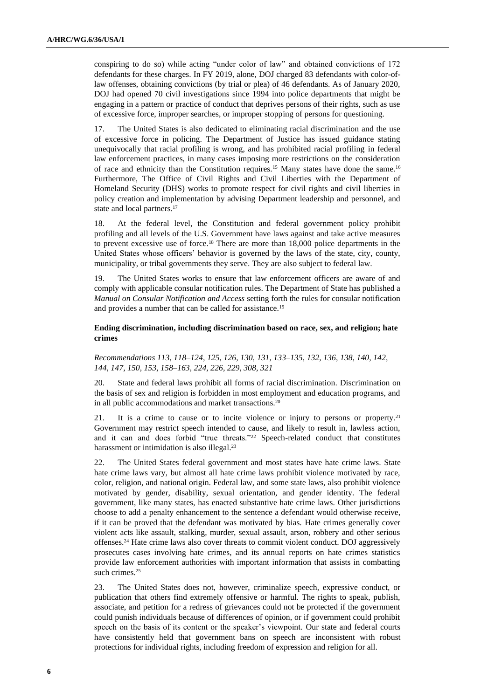conspiring to do so) while acting "under color of law" and obtained convictions of 172 defendants for these charges. In FY 2019, alone, DOJ charged 83 defendants with color-oflaw offenses, obtaining convictions (by trial or plea) of 46 defendants. As of January 2020, DOJ had opened 70 civil investigations since 1994 into police departments that might be engaging in a pattern or practice of conduct that deprives persons of their rights, such as use of excessive force, improper searches, or improper stopping of persons for questioning.

17. The United States is also dedicated to eliminating racial discrimination and the use of excessive force in policing. The Department of Justice has issued guidance stating unequivocally that racial profiling is wrong, and has prohibited racial profiling in federal law enforcement practices, in many cases imposing more restrictions on the consideration of race and ethnicity than the Constitution requires.<sup>15</sup> Many states have done the same.<sup>16</sup> Furthermore, The Office of Civil Rights and Civil Liberties with the Department of Homeland Security (DHS) works to promote respect for civil rights and civil liberties in policy creation and implementation by advising Department leadership and personnel, and state and local partners.<sup>17</sup>

18. At the federal level, the Constitution and federal government policy prohibit profiling and all levels of the U.S. Government have laws against and take active measures to prevent excessive use of force.<sup>18</sup> There are more than 18,000 police departments in the United States whose officers' behavior is governed by the laws of the state, city, county, municipality, or tribal governments they serve. They are also subject to federal law.

19. The United States works to ensure that law enforcement officers are aware of and comply with applicable consular notification rules. The Department of State has published a *Manual on Consular Notification and Access* setting forth the rules for consular notification and provides a number that can be called for assistance.<sup>19</sup>

## **Ending discrimination, including discrimination based on race, sex, and religion; hate crimes**

*Recommendations 113, 118–124, 125, 126, 130, 131, 133–135, 132, 136, 138, 140, 142, 144, 147, 150, 153, 158–163, 224, 226, 229, 308, 321*

20. State and federal laws prohibit all forms of racial discrimination. Discrimination on the basis of sex and religion is forbidden in most employment and education programs, and in all public accommodations and market transactions.<sup>20</sup>

21. It is a crime to cause or to incite violence or injury to persons or property.<sup>21</sup> Government may restrict speech intended to cause, and likely to result in, lawless action, and it can and does forbid "true threats."<sup>22</sup> Speech-related conduct that constitutes harassment or intimidation is also illegal.<sup>23</sup>

22. The United States federal government and most states have hate crime laws. State hate crime laws vary, but almost all hate crime laws prohibit violence motivated by race, color, religion, and national origin. Federal law, and some state laws, also prohibit violence motivated by gender, disability, sexual orientation, and gender identity. The federal government, like many states, has enacted substantive hate crime laws. Other jurisdictions choose to add a penalty enhancement to the sentence a defendant would otherwise receive, if it can be proved that the defendant was motivated by bias. Hate crimes generally cover violent acts like assault, stalking, murder, sexual assault, arson, robbery and other serious offenses.<sup>24</sup> Hate crime laws also cover threats to commit violent conduct. DOJ aggressively prosecutes cases involving hate crimes, and its annual reports on hate crimes statistics provide law enforcement authorities with important information that assists in combatting such crimes.<sup>25</sup>

23. The United States does not, however, criminalize speech, expressive conduct, or publication that others find extremely offensive or harmful. The rights to speak, publish, associate, and petition for a redress of grievances could not be protected if the government could punish individuals because of differences of opinion, or if government could prohibit speech on the basis of its content or the speaker's viewpoint. Our state and federal courts have consistently held that government bans on speech are inconsistent with robust protections for individual rights, including freedom of expression and religion for all.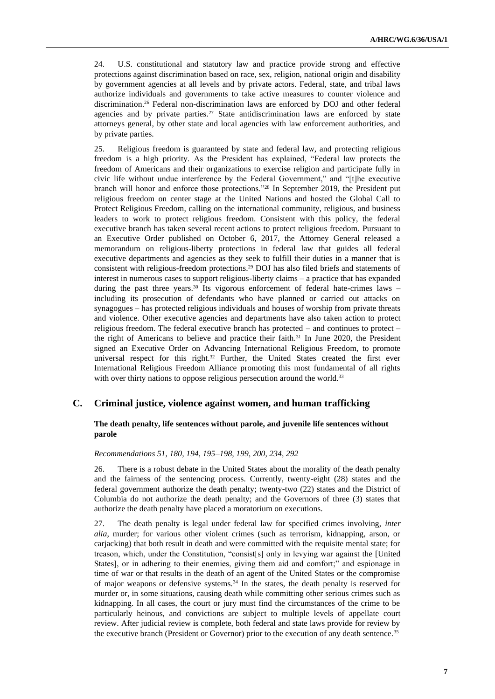24. U.S. constitutional and statutory law and practice provide strong and effective protections against discrimination based on race, sex, religion, national origin and disability by government agencies at all levels and by private actors. Federal, state, and tribal laws authorize individuals and governments to take active measures to counter violence and discrimination.<sup>26</sup> Federal non-discrimination laws are enforced by DOJ and other federal agencies and by private parties.<sup>27</sup> State antidiscrimination laws are enforced by state attorneys general, by other state and local agencies with law enforcement authorities, and by private parties.

25. Religious freedom is guaranteed by state and federal law, and protecting religious freedom is a high priority. As the President has explained, "Federal law protects the freedom of Americans and their organizations to exercise religion and participate fully in civic life without undue interference by the Federal Government," and "[t]he executive branch will honor and enforce those protections."<sup>28</sup> In September 2019, the President put religious freedom on center stage at the United Nations and hosted the Global Call to Protect Religious Freedom, calling on the international community, religious, and business leaders to work to protect religious freedom. Consistent with this policy, the federal executive branch has taken several recent actions to protect religious freedom. Pursuant to an Executive Order published on October 6, 2017, the Attorney General released a memorandum on religious-liberty protections in federal law that guides all federal executive departments and agencies as they seek to fulfill their duties in a manner that is consistent with religious-freedom protections.<sup>29</sup> DOJ has also filed briefs and statements of interest in numerous cases to support religious-liberty claims – a practice that has expanded during the past three years.<sup>30</sup> Its vigorous enforcement of federal hate-crimes laws including its prosecution of defendants who have planned or carried out attacks on synagogues – has protected religious individuals and houses of worship from private threats and violence. Other executive agencies and departments have also taken action to protect religious freedom. The federal executive branch has protected – and continues to protect – the right of Americans to believe and practice their faith.<sup>31</sup> In June 2020, the President signed an Executive Order on Advancing International Religious Freedom, to promote universal respect for this right.<sup>32</sup> Further, the United States created the first ever International Religious Freedom Alliance promoting this most fundamental of all rights with over thirty nations to oppose religious persecution around the world.<sup>33</sup>

# **C. Criminal justice, violence against women, and human trafficking**

## **The death penalty, life sentences without parole, and juvenile life sentences without parole**

### *Recommendations 51, 180, 194, 195–198, 199, 200, 234, 292*

26. There is a robust debate in the United States about the morality of the death penalty and the fairness of the sentencing process. Currently, twenty-eight (28) states and the federal government authorize the death penalty; twenty-two (22) states and the District of Columbia do not authorize the death penalty; and the Governors of three (3) states that authorize the death penalty have placed a moratorium on executions.

27. The death penalty is legal under federal law for specified crimes involving, *inter alia*, murder; for various other violent crimes (such as terrorism, kidnapping, arson, or carjacking) that both result in death and were committed with the requisite mental state; for treason, which, under the Constitution, "consist[s] only in levying war against the [United States], or in adhering to their enemies, giving them aid and comfort;" and espionage in time of war or that results in the death of an agent of the United States or the compromise of major weapons or defensive systems.<sup>34</sup> In the states, the death penalty is reserved for murder or, in some situations, causing death while committing other serious crimes such as kidnapping. In all cases, the court or jury must find the circumstances of the crime to be particularly heinous, and convictions are subject to multiple levels of appellate court review. After judicial review is complete, both federal and state laws provide for review by the executive branch (President or Governor) prior to the execution of any death sentence.35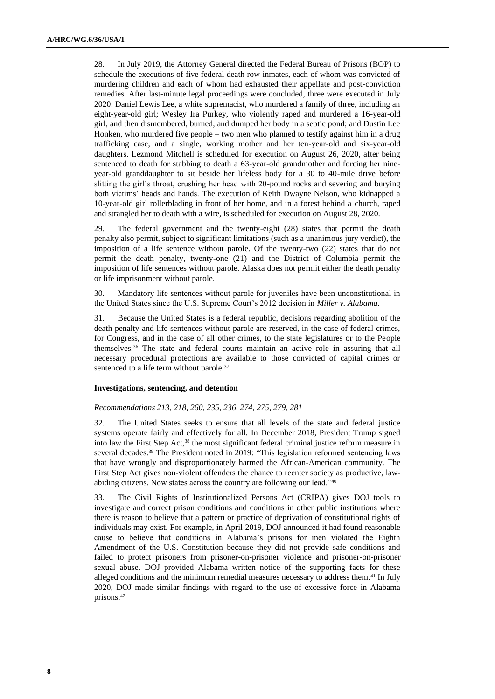28. In July 2019, the Attorney General directed the Federal Bureau of Prisons (BOP) to schedule the executions of five federal death row inmates, each of whom was convicted of murdering children and each of whom had exhausted their appellate and post-conviction remedies. After last-minute legal proceedings were concluded, three were executed in July 2020: Daniel Lewis Lee, a white supremacist, who murdered a family of three, including an eight-year-old girl; Wesley Ira Purkey, who violently raped and murdered a 16-year-old girl, and then dismembered, burned, and dumped her body in a septic pond; and Dustin Lee Honken, who murdered five people – two men who planned to testify against him in a drug trafficking case, and a single, working mother and her ten-year-old and six-year-old daughters. Lezmond Mitchell is scheduled for execution on August 26, 2020, after being sentenced to death for stabbing to death a 63-year-old grandmother and forcing her nineyear-old granddaughter to sit beside her lifeless body for a 30 to 40-mile drive before slitting the girl's throat, crushing her head with 20-pound rocks and severing and burying both victims' heads and hands. The execution of Keith Dwayne Nelson, who kidnapped a 10-year-old girl rollerblading in front of her home, and in a forest behind a church, raped and strangled her to death with a wire, is scheduled for execution on August 28, 2020.

29. The federal government and the twenty-eight (28) states that permit the death penalty also permit, subject to significant limitations (such as a unanimous jury verdict), the imposition of a life sentence without parole. Of the twenty-two (22) states that do not permit the death penalty, twenty-one (21) and the District of Columbia permit the imposition of life sentences without parole. Alaska does not permit either the death penalty or life imprisonment without parole.

30. Mandatory life sentences without parole for juveniles have been unconstitutional in the United States since the U.S. Supreme Court's 2012 decision in *Miller v. Alabama*.

31. Because the United States is a federal republic, decisions regarding abolition of the death penalty and life sentences without parole are reserved, in the case of federal crimes, for Congress, and in the case of all other crimes, to the state legislatures or to the People themselves.<sup>36</sup> The state and federal courts maintain an active role in assuring that all necessary procedural protections are available to those convicted of capital crimes or sentenced to a life term without parole.<sup>37</sup>

## **Investigations, sentencing, and detention**

#### *Recommendations 213, 218, 260, 235, 236, 274, 275, 279, 281*

32. The United States seeks to ensure that all levels of the state and federal justice systems operate fairly and effectively for all. In December 2018, President Trump signed into law the First Step Act,<sup>38</sup> the most significant federal criminal justice reform measure in several decades.<sup>39</sup> The President noted in 2019: "This legislation reformed sentencing laws that have wrongly and disproportionately harmed the African-American community. The First Step Act gives non-violent offenders the chance to reenter society as productive, lawabiding citizens. Now states across the country are following our lead."<sup>40</sup>

33. The Civil Rights of Institutionalized Persons Act (CRIPA) gives DOJ tools to investigate and correct prison conditions and conditions in other public institutions where there is reason to believe that a pattern or practice of deprivation of constitutional rights of individuals may exist. For example, in April 2019, DOJ announced it had found reasonable cause to believe that conditions in Alabama's prisons for men violated the Eighth Amendment of the U.S. Constitution because they did not provide safe conditions and failed to protect prisoners from prisoner-on-prisoner violence and prisoner-on-prisoner sexual abuse. DOJ provided Alabama written notice of the supporting facts for these alleged conditions and the minimum remedial measures necessary to address them.<sup>41</sup> In July 2020, DOJ made similar findings with regard to the use of excessive force in Alabama prisons.42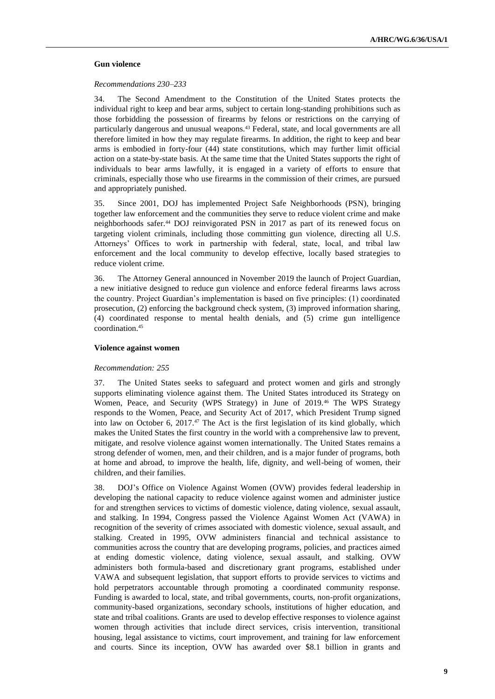#### **Gun violence**

#### *Recommendations 230–233*

34. The Second Amendment to the Constitution of the United States protects the individual right to keep and bear arms, subject to certain long-standing prohibitions such as those forbidding the possession of firearms by felons or restrictions on the carrying of particularly dangerous and unusual weapons.<sup>43</sup> Federal, state, and local governments are all therefore limited in how they may regulate firearms. In addition, the right to keep and bear arms is embodied in forty-four (44) state constitutions, which may further limit official action on a state-by-state basis. At the same time that the United States supports the right of individuals to bear arms lawfully, it is engaged in a variety of efforts to ensure that criminals, especially those who use firearms in the commission of their crimes, are pursued and appropriately punished.

35. Since 2001, DOJ has implemented Project Safe Neighborhoods (PSN), bringing together law enforcement and the communities they serve to reduce violent crime and make neighborhoods safer.<sup>44</sup> DOJ reinvigorated PSN in 2017 as part of its renewed focus on targeting violent criminals, including those committing gun violence, directing all U.S. Attorneys' Offices to work in partnership with federal, state, local, and tribal law enforcement and the local community to develop effective, locally based strategies to reduce violent crime.

36. The Attorney General announced in November 2019 the launch of Project Guardian, a new initiative designed to reduce gun violence and enforce federal firearms laws across the country. Project Guardian's implementation is based on five principles: (1) coordinated prosecution, (2) enforcing the background check system, (3) improved information sharing, (4) coordinated response to mental health denials, and (5) crime gun intelligence coordination.<sup>45</sup>

### **Violence against women**

#### *Recommendation: 255*

37. The United States seeks to safeguard and protect women and girls and strongly supports eliminating violence against them. The United States introduced its Strategy on Women, Peace, and Security (WPS Strategy) in June of 2019.<sup>46</sup> The WPS Strategy responds to the Women, Peace, and Security Act of 2017, which President Trump signed into law on October 6, 2017. $47$  The Act is the first legislation of its kind globally, which makes the United States the first country in the world with a comprehensive law to prevent, mitigate, and resolve violence against women internationally. The United States remains a strong defender of women, men, and their children, and is a major funder of programs, both at home and abroad, to improve the health, life, dignity, and well-being of women, their children, and their families.

38. DOJ's Office on Violence Against Women (OVW) provides federal leadership in developing the national capacity to reduce violence against women and administer justice for and strengthen services to victims of domestic violence, dating violence, sexual assault, and stalking. In 1994, Congress passed the Violence Against Women Act (VAWA) in recognition of the severity of crimes associated with domestic violence, sexual assault, and stalking. Created in 1995, OVW administers financial and technical assistance to communities across the country that are developing programs, policies, and practices aimed at ending domestic violence, dating violence, sexual assault, and stalking. OVW administers both formula-based and discretionary grant programs, established under VAWA and subsequent legislation, that support efforts to provide services to victims and hold perpetrators accountable through promoting a coordinated community response. Funding is awarded to local, state, and tribal governments, courts, non-profit organizations, community-based organizations, secondary schools, institutions of higher education, and state and tribal coalitions. Grants are used to develop effective responses to violence against women through activities that include direct services, crisis intervention, transitional housing, legal assistance to victims, court improvement, and training for law enforcement and courts. Since its inception, OVW has awarded over \$8.1 billion in grants and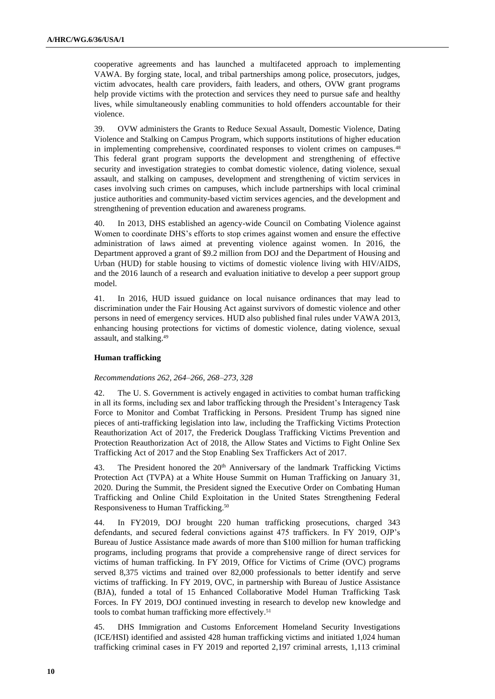cooperative agreements and has launched a multifaceted approach to implementing VAWA. By forging state, local, and tribal partnerships among police, prosecutors, judges, victim advocates, health care providers, faith leaders, and others, OVW grant programs help provide victims with the protection and services they need to pursue safe and healthy lives, while simultaneously enabling communities to hold offenders accountable for their violence.

39. OVW administers the Grants to Reduce Sexual Assault, Domestic Violence, Dating Violence and Stalking on Campus Program, which supports institutions of higher education in implementing comprehensive, coordinated responses to violent crimes on campuses.<sup>48</sup> This federal grant program supports the development and strengthening of effective security and investigation strategies to combat domestic violence, dating violence, sexual assault, and stalking on campuses, development and strengthening of victim services in cases involving such crimes on campuses, which include partnerships with local criminal justice authorities and community-based victim services agencies, and the development and strengthening of prevention education and awareness programs.

40. In 2013, DHS established an agency-wide Council on Combating Violence against Women to coordinate DHS's efforts to stop crimes against women and ensure the effective administration of laws aimed at preventing violence against women. In 2016, the Department approved a grant of \$9.2 million from DOJ and the Department of Housing and Urban (HUD) for stable housing to victims of domestic violence living with HIV/AIDS, and the 2016 launch of a research and evaluation initiative to develop a peer support group model.

41. In 2016, HUD issued guidance on local nuisance ordinances that may lead to discrimination under the Fair Housing Act against survivors of domestic violence and other persons in need of emergency services. HUD also published final rules under VAWA 2013, enhancing housing protections for victims of domestic violence, dating violence, sexual assault, and stalking.<sup>49</sup>

#### **Human trafficking**

## *Recommendations 262, 264–266, 268–273, 328*

42. The U. S. Government is actively engaged in activities to combat human trafficking in all its forms, including sex and labor trafficking through the President's Interagency Task Force to Monitor and Combat Trafficking in Persons. President Trump has signed nine pieces of anti-trafficking legislation into law, including the Trafficking Victims Protection Reauthorization Act of 2017, the Frederick Douglass Trafficking Victims Prevention and Protection Reauthorization Act of 2018, the Allow States and Victims to Fight Online Sex Trafficking Act of 2017 and the Stop Enabling Sex Traffickers Act of 2017.

43. The President honored the 20<sup>th</sup> Anniversary of the landmark Trafficking Victims Protection Act (TVPA) at a White House Summit on Human Trafficking on January 31, 2020. During the Summit, the President signed the Executive Order on Combating Human Trafficking and Online Child Exploitation in the United States Strengthening Federal Responsiveness to Human Trafficking.<sup>50</sup>

44. In FY2019, DOJ brought 220 human trafficking prosecutions, charged 343 defendants, and secured federal convictions against 475 traffickers. In FY 2019, OJP's Bureau of Justice Assistance made awards of more than \$100 million for human trafficking programs, including programs that provide a comprehensive range of direct services for victims of human trafficking. In FY 2019, Office for Victims of Crime (OVC) programs served 8,375 victims and trained over 82,000 professionals to better identify and serve victims of trafficking. In FY 2019, OVC, in partnership with Bureau of Justice Assistance (BJA), funded a total of 15 Enhanced Collaborative Model Human Trafficking Task Forces. In FY 2019, DOJ continued investing in research to develop new knowledge and tools to combat human trafficking more effectively.<sup>51</sup>

45. DHS Immigration and Customs Enforcement Homeland Security Investigations (ICE/HSI) identified and assisted 428 human trafficking victims and initiated 1,024 human trafficking criminal cases in FY 2019 and reported 2,197 criminal arrests, 1,113 criminal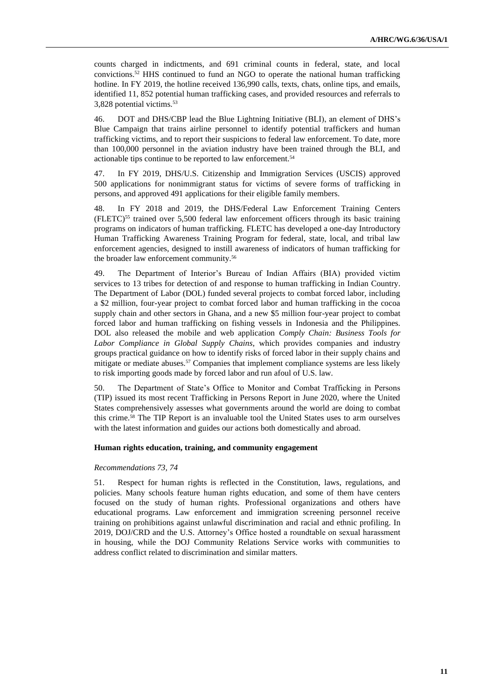counts charged in indictments, and 691 criminal counts in federal, state, and local convictions.<sup>52</sup> HHS continued to fund an NGO to operate the national human trafficking hotline. In FY 2019, the hotline received 136,990 calls, texts, chats, online tips, and emails, identified 11, 852 potential human trafficking cases, and provided resources and referrals to 3,828 potential victims.<sup>53</sup>

46. DOT and DHS/CBP lead the Blue Lightning Initiative (BLI), an element of DHS's Blue Campaign that trains airline personnel to identify potential traffickers and human trafficking victims, and to report their suspicions to federal law enforcement. To date, more than 100,000 personnel in the aviation industry have been trained through the BLI, and actionable tips continue to be reported to law enforcement.<sup>54</sup>

47. In FY 2019, DHS/U.S. Citizenship and Immigration Services (USCIS) approved 500 applications for nonimmigrant status for victims of severe forms of trafficking in persons, and approved 491 applications for their eligible family members.

48. In FY 2018 and 2019, the DHS/Federal Law Enforcement Training Centers  $(FLETC)<sup>55</sup>$  trained over 5,500 federal law enforcement officers through its basic training programs on indicators of human trafficking. FLETC has developed a one-day Introductory Human Trafficking Awareness Training Program for federal, state, local, and tribal law enforcement agencies, designed to instill awareness of indicators of human trafficking for the broader law enforcement community.<sup>56</sup>

49. The Department of Interior's Bureau of Indian Affairs (BIA) provided victim services to 13 tribes for detection of and response to human trafficking in Indian Country. The Department of Labor (DOL) funded several projects to combat forced labor, including a \$2 million, four-year project to combat forced labor and human trafficking in the cocoa supply chain and other sectors in Ghana, and a new \$5 million four-year project to combat forced labor and human trafficking on fishing vessels in Indonesia and the Philippines. DOL also released the mobile and web application *Comply Chain: Business Tools for Labor Compliance in Global Supply Chains*, which provides companies and industry groups practical guidance on how to identify risks of forced labor in their supply chains and mitigate or mediate abuses.<sup>57</sup> Companies that implement compliance systems are less likely to risk importing goods made by forced labor and run afoul of U.S. law.

50. The Department of State's Office to Monitor and Combat Trafficking in Persons (TIP) issued its most recent Trafficking in Persons Report in June 2020, where the United States comprehensively assesses what governments around the world are doing to combat this crime.<sup>58</sup> The TIP Report is an invaluable tool the United States uses to arm ourselves with the latest information and guides our actions both domestically and abroad.

#### **Human rights education, training, and community engagement**

#### *Recommendations 73, 74*

51. Respect for human rights is reflected in the Constitution, laws, regulations, and policies. Many schools feature human rights education, and some of them have centers focused on the study of human rights. Professional organizations and others have educational programs. Law enforcement and immigration screening personnel receive training on prohibitions against unlawful discrimination and racial and ethnic profiling. In 2019, DOJ/CRD and the U.S. Attorney's Office hosted a roundtable on sexual harassment in housing, while the DOJ Community Relations Service works with communities to address conflict related to discrimination and similar matters.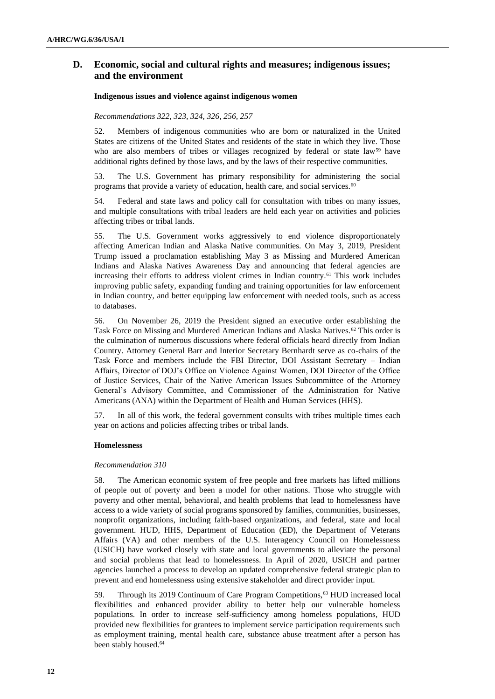# **D. Economic, social and cultural rights and measures; indigenous issues; and the environment**

## **Indigenous issues and violence against indigenous women**

### *Recommendations 322, 323, 324, 326, 256, 257*

52. Members of indigenous communities who are born or naturalized in the United States are citizens of the United States and residents of the state in which they live. Those who are also members of tribes or villages recognized by federal or state law<sup>59</sup> have additional rights defined by those laws, and by the laws of their respective communities.

53. The U.S. Government has primary responsibility for administering the social programs that provide a variety of education, health care, and social services.<sup>60</sup>

54. Federal and state laws and policy call for consultation with tribes on many issues, and multiple consultations with tribal leaders are held each year on activities and policies affecting tribes or tribal lands.

55. The U.S. Government works aggressively to end violence disproportionately affecting American Indian and Alaska Native communities. On May 3, 2019, President Trump issued a proclamation establishing May 3 as Missing and Murdered American Indians and Alaska Natives Awareness Day and announcing that federal agencies are increasing their efforts to address violent crimes in Indian country.<sup>61</sup> This work includes improving public safety, expanding funding and training opportunities for law enforcement in Indian country, and better equipping law enforcement with needed tools, such as access to databases.

56. On November 26, 2019 the President signed an executive order establishing the Task Force on Missing and Murdered American Indians and Alaska Natives.<sup>62</sup> This order is the culmination of numerous discussions where federal officials heard directly from Indian Country. Attorney General Barr and Interior Secretary Bernhardt serve as co-chairs of the Task Force and members include the FBI Director, DOI Assistant Secretary – Indian Affairs, Director of DOJ's Office on Violence Against Women, DOI Director of the Office of Justice Services, Chair of the Native American Issues Subcommittee of the Attorney General's Advisory Committee, and Commissioner of the Administration for Native Americans (ANA) within the Department of Health and Human Services (HHS).

57. In all of this work, the federal government consults with tribes multiple times each year on actions and policies affecting tribes or tribal lands.

#### **Homelessness**

#### *Recommendation 310*

58. The American economic system of free people and free markets has lifted millions of people out of poverty and been a model for other nations. Those who struggle with poverty and other mental, behavioral, and health problems that lead to homelessness have access to a wide variety of social programs sponsored by families, communities, businesses, nonprofit organizations, including faith-based organizations, and federal, state and local government. HUD, HHS, Department of Education (ED), the Department of Veterans Affairs (VA) and other members of the U.S. Interagency Council on Homelessness (USICH) have worked closely with state and local governments to alleviate the personal and social problems that lead to homelessness. In April of 2020, USICH and partner agencies launched a process to develop an updated comprehensive federal strategic plan to prevent and end homelessness using extensive stakeholder and direct provider input.

59. Through its 2019 Continuum of Care Program Competitions,<sup>63</sup> HUD increased local flexibilities and enhanced provider ability to better help our vulnerable homeless populations. In order to increase self-sufficiency among homeless populations, HUD provided new flexibilities for grantees to implement service participation requirements such as employment training, mental health care, substance abuse treatment after a person has been stably housed.<sup>64</sup>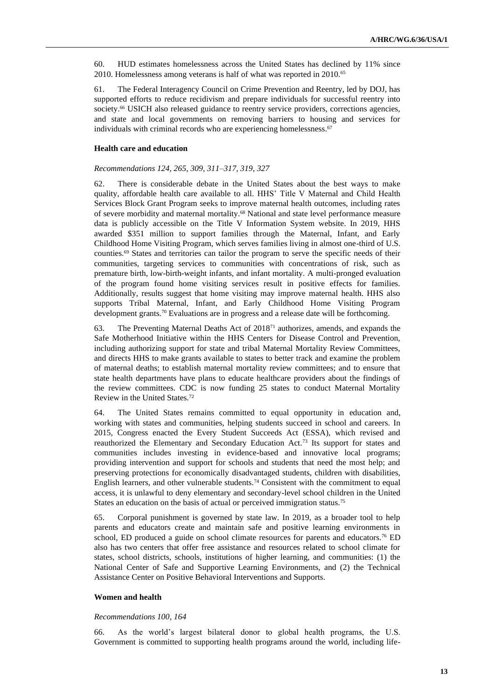60. HUD estimates homelessness across the United States has declined by 11% since 2010. Homelessness among veterans is half of what was reported in 2010.<sup>65</sup>

61. The Federal Interagency Council on Crime Prevention and Reentry, led by DOJ, has supported efforts to reduce recidivism and prepare individuals for successful reentry into society.<sup>66</sup> USICH also released guidance to reentry service providers, corrections agencies, and state and local governments on removing barriers to housing and services for individuals with criminal records who are experiencing homelessness.<sup>67</sup>

#### **Health care and education**

#### *Recommendations 124, 265, 309, 311–317, 319, 327*

62. There is considerable debate in the United States about the best ways to make quality, affordable health care available to all. HHS' Title V Maternal and Child Health Services Block Grant Program seeks to improve maternal health outcomes, including rates of severe morbidity and maternal mortality.<sup>68</sup> National and state level performance measure data is publicly accessible on the Title V Information System website. In 2019, HHS awarded \$351 million to support families through the Maternal, Infant, and Early Childhood Home Visiting Program, which serves families living in almost one-third of U.S. counties.<sup>69</sup> States and territories can tailor the program to serve the specific needs of their communities, targeting services to communities with concentrations of risk, such as premature birth, low-birth-weight infants, and infant mortality. A multi-pronged evaluation of the program found home visiting services result in positive effects for families. Additionally, results suggest that home visiting may improve maternal health. HHS also supports Tribal Maternal, Infant, and Early Childhood Home Visiting Program development grants.<sup>70</sup> Evaluations are in progress and a release date will be forthcoming.

63. The Preventing Maternal Deaths Act of 2018<sup>71</sup> authorizes, amends, and expands the Safe Motherhood Initiative within the HHS Centers for Disease Control and Prevention, including authorizing support for state and tribal Maternal Mortality Review Committees, and directs HHS to make grants available to states to better track and examine the problem of maternal deaths; to establish maternal mortality review committees; and to ensure that state health departments have plans to educate healthcare providers about the findings of the review committees. CDC is now funding 25 states to conduct Maternal Mortality Review in the United States.<sup>72</sup>

64. The United States remains committed to equal opportunity in education and, working with states and communities, helping students succeed in school and careers. In 2015, Congress enacted the Every Student Succeeds Act (ESSA), which revised and reauthorized the Elementary and Secondary Education Act.<sup>73</sup> Its support for states and communities includes investing in evidence-based and innovative local programs; providing intervention and support for schools and students that need the most help; and preserving protections for economically disadvantaged students, children with disabilities, English learners, and other vulnerable students.<sup>74</sup> Consistent with the commitment to equal access, it is unlawful to deny elementary and secondary-level school children in the United States an education on the basis of actual or perceived immigration status.<sup>75</sup>

65. Corporal punishment is governed by state law. In 2019, as a broader tool to help parents and educators create and maintain safe and positive learning environments in school, ED produced a guide on school climate resources for parents and educators.<sup>76</sup> ED also has two centers that offer free assistance and resources related to school climate for states, school districts, schools, institutions of higher learning, and communities: (1) the National Center of Safe and Supportive Learning Environments, and (2) the Technical Assistance Center on Positive Behavioral Interventions and Supports.

#### **Women and health**

#### *Recommendations 100, 164*

66. As the world's largest bilateral donor to global health programs, the U.S. Government is committed to supporting health programs around the world, including life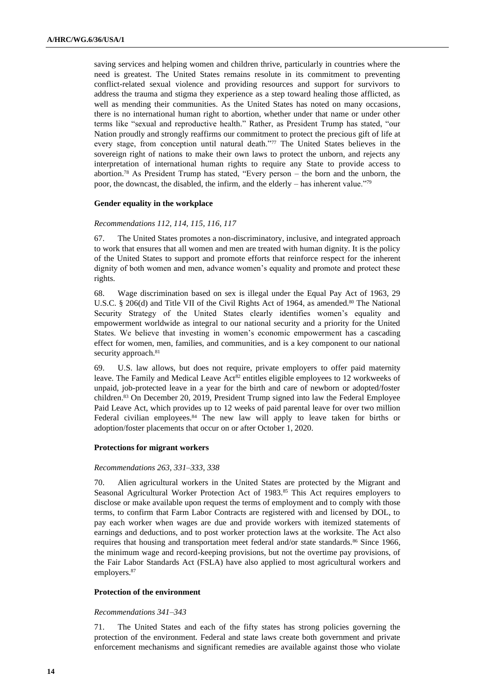saving services and helping women and children thrive, particularly in countries where the need is greatest. The United States remains resolute in its commitment to preventing conflict-related sexual violence and providing resources and support for survivors to address the trauma and stigma they experience as a step toward healing those afflicted, as well as mending their communities. As the United States has noted on many occasions, there is no international human right to abortion, whether under that name or under other terms like "sexual and reproductive health." Rather, as President Trump has stated, "our Nation proudly and strongly reaffirms our commitment to protect the precious gift of life at every stage, from conception until natural death."<sup>77</sup> The United States believes in the sovereign right of nations to make their own laws to protect the unborn, and rejects any interpretation of international human rights to require any State to provide access to abortion.<sup>78</sup> As President Trump has stated, "Every person – the born and the unborn, the poor, the downcast, the disabled, the infirm, and the elderly – has inherent value."<sup>79</sup>

### **Gender equality in the workplace**

## *Recommendations 112, 114, 115, 116, 117*

67. The United States promotes a non-discriminatory, inclusive, and integrated approach to work that ensures that all women and men are treated with human dignity. It is the policy of the United States to support and promote efforts that reinforce respect for the inherent dignity of both women and men, advance women's equality and promote and protect these rights.

68. Wage discrimination based on sex is illegal under the Equal Pay Act of 1963, 29 U.S.C. § 206(d) and Title VII of the Civil Rights Act of 1964, as amended.<sup>80</sup> The National Security Strategy of the United States clearly identifies women's equality and empowerment worldwide as integral to our national security and a priority for the United States. We believe that investing in women's economic empowerment has a cascading effect for women, men, families, and communities, and is a key component to our national security approach.<sup>81</sup>

69. U.S. law allows, but does not require, private employers to offer paid maternity leave. The Family and Medical Leave Act<sup>82</sup> entitles eligible employees to 12 workweeks of unpaid, job-protected leave in a year for the birth and care of newborn or adopted/foster children.<sup>83</sup> On December 20, 2019, President Trump signed into law the Federal Employee Paid Leave Act, which provides up to 12 weeks of paid parental leave for over two million Federal civilian employees.<sup>84</sup> The new law will apply to leave taken for births or adoption/foster placements that occur on or after October 1, 2020.

#### **Protections for migrant workers**

#### *Recommendations 263, 331–333, 338*

70. Alien agricultural workers in the United States are protected by the Migrant and Seasonal Agricultural Worker Protection Act of 1983.<sup>85</sup> This Act requires employers to disclose or make available upon request the terms of employment and to comply with those terms, to confirm that Farm Labor Contracts are registered with and licensed by DOL, to pay each worker when wages are due and provide workers with itemized statements of earnings and deductions, and to post worker protection laws at the worksite. The Act also requires that housing and transportation meet federal and/or state standards.<sup>86</sup> Since 1966, the minimum wage and record-keeping provisions, but not the overtime pay provisions, of the Fair Labor Standards Act (FSLA) have also applied to most agricultural workers and employers.<sup>87</sup>

## **Protection of the environment**

#### *Recommendations 341–343*

71. The United States and each of the fifty states has strong policies governing the protection of the environment. Federal and state laws create both government and private enforcement mechanisms and significant remedies are available against those who violate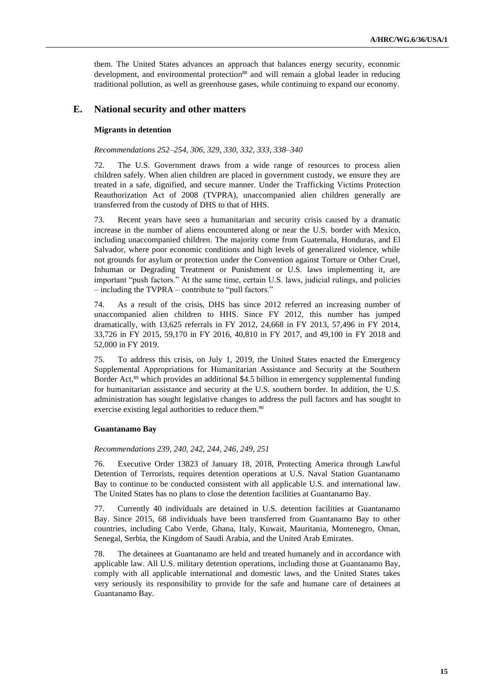them. The United States advances an approach that balances energy security, economic development, and environmental protection<sup>88</sup> and will remain a global leader in reducing traditional pollution, as well as greenhouse gases, while continuing to expand our economy.

## **E. National security and other matters**

#### **Migrants in detention**

### *Recommendations 252–254, 306, 329, 330, 332, 333, 338–340*

72. The U.S. Government draws from a wide range of resources to process alien children safely. When alien children are placed in government custody, we ensure they are treated in a safe, dignified, and secure manner. Under the Trafficking Victims Protection Reauthorization Act of 2008 (TVPRA), unaccompanied alien children generally are transferred from the custody of DHS to that of HHS.

73. Recent years have seen a humanitarian and security crisis caused by a dramatic increase in the number of aliens encountered along or near the U.S. border with Mexico, including unaccompanied children. The majority come from Guatemala, Honduras, and El Salvador, where poor economic conditions and high levels of generalized violence, while not grounds for asylum or protection under the Convention against Torture or Other Cruel, Inhuman or Degrading Treatment or Punishment or U.S. laws implementing it, are important "push factors." At the same time, certain U.S. laws, judicial rulings, and policies – including the TVPRA – contribute to "pull factors."

74. As a result of the crisis, DHS has since 2012 referred an increasing number of unaccompanied alien children to HHS. Since FY 2012, this number has jumped dramatically, with 13,625 referrals in FY 2012, 24,668 in FY 2013, 57,496 in FY 2014, 33,726 in FY 2015, 59,170 in FY 2016, 40,810 in FY 2017, and 49,100 in FY 2018 and 52,000 in FY 2019.

75. To address this crisis, on July 1, 2019, the United States enacted the Emergency Supplemental Appropriations for Humanitarian Assistance and Security at the Southern Border Act,<sup>89</sup> which provides an additional \$4.5 billion in emergency supplemental funding for humanitarian assistance and security at the U.S. southern border. In addition, the U.S. administration has sought legislative changes to address the pull factors and has sought to exercise existing legal authorities to reduce them.<sup>90</sup>

#### **Guantanamo Bay**

#### *Recommendations 239, 240, 242, 244, 246, 249, 251*

76. Executive Order 13823 of January 18, 2018, Protecting America through Lawful Detention of Terrorists, requires detention operations at U.S. Naval Station Guantanamo Bay to continue to be conducted consistent with all applicable U.S. and international law. The United States has no plans to close the detention facilities at Guantanamo Bay.

77. Currently 40 individuals are detained in U.S. detention facilities at Guantanamo Bay. Since 2015, 68 individuals have been transferred from Guantanamo Bay to other countries, including Cabo Verde, Ghana, Italy, Kuwait, Mauritania, Montenegro, Oman, Senegal, Serbia, the Kingdom of Saudi Arabia, and the United Arab Emirates.

78. The detainees at Guantanamo are held and treated humanely and in accordance with applicable law. All U.S. military detention operations, including those at Guantanamo Bay, comply with all applicable international and domestic laws, and the United States takes very seriously its responsibility to provide for the safe and humane care of detainees at Guantanamo Bay.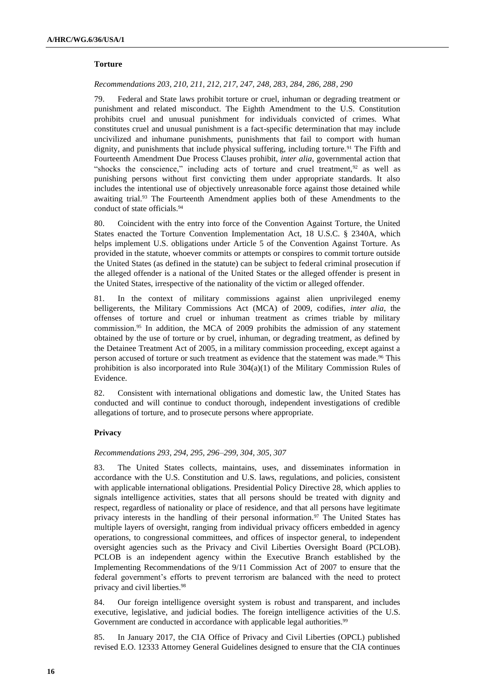## **Torture**

### *Recommendations 203, 210, 211, 212, 217, 247, 248, 283, 284, 286, 288, 290*

79. Federal and State laws prohibit torture or cruel, inhuman or degrading treatment or punishment and related misconduct. The Eighth Amendment to the U.S. Constitution prohibits cruel and unusual punishment for individuals convicted of crimes. What constitutes cruel and unusual punishment is a fact-specific determination that may include uncivilized and inhumane punishments, punishments that fail to comport with human dignity, and punishments that include physical suffering, including torture.<sup>91</sup> The Fifth and Fourteenth Amendment Due Process Clauses prohibit, *inter alia*, governmental action that "shocks the conscience," including acts of torture and cruel treatment,<sup>92</sup> as well as punishing persons without first convicting them under appropriate standards. It also includes the intentional use of objectively unreasonable force against those detained while awaiting trial.<sup>93</sup> The Fourteenth Amendment applies both of these Amendments to the conduct of state officials.<sup>94</sup>

80. Coincident with the entry into force of the Convention Against Torture, the United States enacted the Torture Convention Implementation Act, 18 U.S.C. § 2340A, which helps implement U.S. obligations under Article 5 of the Convention Against Torture. As provided in the statute, whoever commits or attempts or conspires to commit torture outside the United States (as defined in the statute) can be subject to federal criminal prosecution if the alleged offender is a national of the United States or the alleged offender is present in the United States, irrespective of the nationality of the victim or alleged offender.

81. In the context of military commissions against alien unprivileged enemy belligerents, the Military Commissions Act (MCA) of 2009, codifies, *inter alia*, the offenses of torture and cruel or inhuman treatment as crimes triable by military commission.<sup>95</sup> In addition, the MCA of 2009 prohibits the admission of any statement obtained by the use of torture or by cruel, inhuman, or degrading treatment, as defined by the Detainee Treatment Act of 2005, in a military commission proceeding, except against a person accused of torture or such treatment as evidence that the statement was made.<sup>96</sup> This prohibition is also incorporated into Rule 304(a)(1) of the Military Commission Rules of Evidence.

82. Consistent with international obligations and domestic law, the United States has conducted and will continue to conduct thorough, independent investigations of credible allegations of torture, and to prosecute persons where appropriate.

### **Privacy**

## *Recommendations 293, 294, 295, 296–299, 304, 305, 307*

83. The United States collects, maintains, uses, and disseminates information in accordance with the U.S. Constitution and U.S. laws, regulations, and policies, consistent with applicable international obligations. Presidential Policy Directive 28, which applies to signals intelligence activities, states that all persons should be treated with dignity and respect, regardless of nationality or place of residence, and that all persons have legitimate privacy interests in the handling of their personal information.<sup>97</sup> The United States has multiple layers of oversight, ranging from individual privacy officers embedded in agency operations, to congressional committees, and offices of inspector general, to independent oversight agencies such as the Privacy and Civil Liberties Oversight Board (PCLOB). PCLOB is an independent agency within the Executive Branch established by the Implementing Recommendations of the 9/11 Commission Act of 2007 to ensure that the federal government's efforts to prevent terrorism are balanced with the need to protect privacy and civil liberties.<sup>98</sup>

84. Our foreign intelligence oversight system is robust and transparent, and includes executive, legislative, and judicial bodies. The foreign intelligence activities of the U.S. Government are conducted in accordance with applicable legal authorities.<sup>99</sup>

85. In January 2017, the CIA Office of Privacy and Civil Liberties (OPCL) published revised E.O. 12333 Attorney General Guidelines designed to ensure that the CIA continues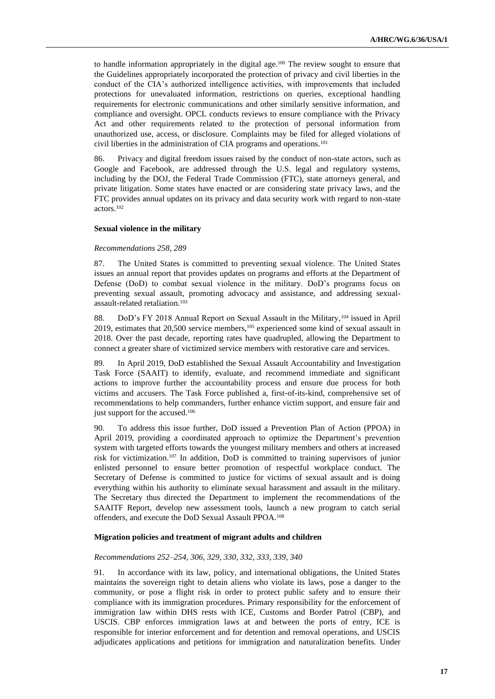to handle information appropriately in the digital age.<sup>100</sup> The review sought to ensure that the Guidelines appropriately incorporated the protection of privacy and civil liberties in the conduct of the CIA's authorized intelligence activities, with improvements that included protections for unevaluated information, restrictions on queries, exceptional handling requirements for electronic communications and other similarly sensitive information, and compliance and oversight. OPCL conducts reviews to ensure compliance with the Privacy Act and other requirements related to the protection of personal information from unauthorized use, access, or disclosure. Complaints may be filed for alleged violations of civil liberties in the administration of CIA programs and operations.<sup>101</sup>

86. Privacy and digital freedom issues raised by the conduct of non-state actors, such as Google and Facebook, are addressed through the U.S. legal and regulatory systems, including by the DOJ, the Federal Trade Commission (FTC), state attorneys general, and private litigation. Some states have enacted or are considering state privacy laws, and the FTC provides annual updates on its privacy and data security work with regard to non-state actors.<sup>102</sup>

#### **Sexual violence in the military**

#### *Recommendations 258, 289*

87. The United States is committed to preventing sexual violence. The United States issues an annual report that provides updates on programs and efforts at the Department of Defense (DoD) to combat sexual violence in the military. DoD's programs focus on preventing sexual assault, promoting advocacy and assistance, and addressing sexualassault-related retaliation.<sup>103</sup>

88. DoD's FY 2018 Annual Report on Sexual Assault in the Military,<sup>104</sup> issued in April 2019, estimates that  $20,500$  service members,<sup>105</sup> experienced some kind of sexual assault in 2018. Over the past decade, reporting rates have quadrupled, allowing the Department to connect a greater share of victimized service members with restorative care and services.

89. In April 2019, DoD established the Sexual Assault Accountability and Investigation Task Force (SAAIT) to identify, evaluate, and recommend immediate and significant actions to improve further the accountability process and ensure due process for both victims and accusers. The Task Force published a, first-of-its-kind, comprehensive set of recommendations to help commanders, further enhance victim support, and ensure fair and just support for the accused.<sup>106</sup>

90. To address this issue further, DoD issued a Prevention Plan of Action (PPOA) in April 2019, providing a coordinated approach to optimize the Department's prevention system with targeted efforts towards the youngest military members and others at increased risk for victimization.<sup>107</sup> In addition, DoD is committed to training supervisors of junior enlisted personnel to ensure better promotion of respectful workplace conduct. The Secretary of Defense is committed to justice for victims of sexual assault and is doing everything within his authority to eliminate sexual harassment and assault in the military. The Secretary thus directed the Department to implement the recommendations of the SAAITF Report, develop new assessment tools, launch a new program to catch serial offenders, and execute the DoD Sexual Assault PPOA.<sup>108</sup>

#### **Migration policies and treatment of migrant adults and children**

### *Recommendations 252–254, 306, 329, 330, 332, 333, 339, 340*

91. In accordance with its law, policy, and international obligations, the United States maintains the sovereign right to detain aliens who violate its laws, pose a danger to the community, or pose a flight risk in order to protect public safety and to ensure their compliance with its immigration procedures. Primary responsibility for the enforcement of immigration law within DHS rests with ICE, Customs and Border Patrol (CBP), and USCIS. CBP enforces immigration laws at and between the ports of entry, ICE is responsible for interior enforcement and for detention and removal operations, and USCIS adjudicates applications and petitions for immigration and naturalization benefits. Under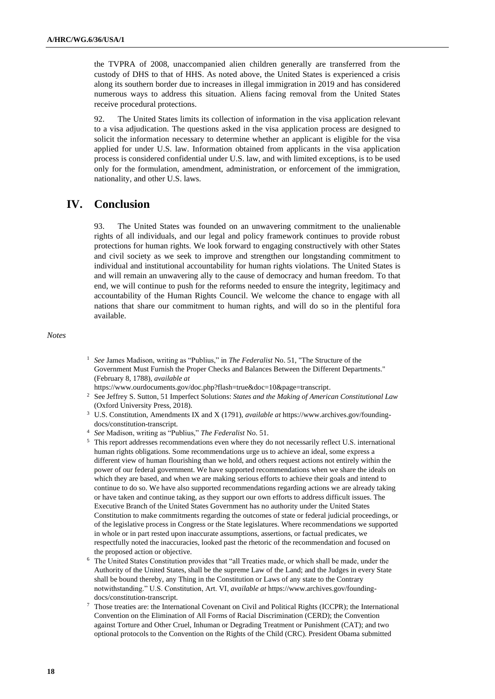the TVPRA of 2008, unaccompanied alien children generally are transferred from the custody of DHS to that of HHS. As noted above, the United States is experienced a crisis along its southern border due to increases in illegal immigration in 2019 and has considered numerous ways to address this situation. Aliens facing removal from the United States receive procedural protections.

92. The United States limits its collection of information in the visa application relevant to a visa adjudication. The questions asked in the visa application process are designed to solicit the information necessary to determine whether an applicant is eligible for the visa applied for under U.S. law. Information obtained from applicants in the visa application process is considered confidential under U.S. law, and with limited exceptions, is to be used only for the formulation, amendment, administration, or enforcement of the immigration, nationality, and other U.S. laws.

# **IV. Conclusion**

93. The United States was founded on an unwavering commitment to the unalienable rights of all individuals, and our legal and policy framework continues to provide robust protections for human rights. We look forward to engaging constructively with other States and civil society as we seek to improve and strengthen our longstanding commitment to individual and institutional accountability for human rights violations. The United States is and will remain an unwavering ally to the cause of democracy and human freedom. To that end, we will continue to push for the reforms needed to ensure the integrity, legitimacy and accountability of the Human Rights Council. We welcome the chance to engage with all nations that share our commitment to human rights, and will do so in the plentiful fora available.

*Notes*

<sup>1</sup> *See* James Madison, writing as "Publius," in *The Federalist* No. 51, "The Structure of the Government Must Furnish the Proper Checks and Balances Between the Different Departments." (February 8, 1788), *available at*

[https://www.ourdocuments.gov/doc.php?flash=true&doc=10&page=transcript.](https://www.ourdocuments.gov/doc.php?flash=true&doc=10&page=transcript)

- <sup>2</sup> See Jeffrey S. Sutton, 51 Imperfect Solutions: *States and the Making of American Constitutional Law* (Oxford University Press, 2018).
- <sup>3</sup> U.S. Constitution, Amendments IX and X (1791), *available at* [https://www.archives.gov/founding](https://www.archives.gov/founding-docs/constitution-transcript)[docs/constitution-transcript.](https://www.archives.gov/founding-docs/constitution-transcript)
- <sup>4</sup> *See* Madison, writing as "Publius," *The Federalist* No. 51.
- <sup>5</sup> This report addresses recommendations even where they do not necessarily reflect U.S. international human rights obligations. Some recommendations urge us to achieve an ideal, some express a different view of human flourishing than we hold, and others request actions not entirely within the power of our federal government. We have supported recommendations when we share the ideals on which they are based, and when we are making serious efforts to achieve their goals and intend to continue to do so. We have also supported recommendations regarding actions we are already taking or have taken and continue taking, as they support our own efforts to address difficult issues. The Executive Branch of the United States Government has no authority under the United States Constitution to make commitments regarding the outcomes of state or federal judicial proceedings, or of the legislative process in Congress or the State legislatures. Where recommendations we supported in whole or in part rested upon inaccurate assumptions, assertions, or factual predicates, we respectfully noted the inaccuracies, looked past the rhetoric of the recommendation and focused on the proposed action or objective.
- <sup>6</sup> The United States Constitution provides that "all Treaties made, or which shall be made, under the Authority of the United States, shall be the supreme Law of the Land; and the Judges in every State shall be bound thereby, any Thing in the Constitution or Laws of any state to the Contrary notwithstanding." U.S. Constitution, Art. VI, *available at* [https://www.archives.gov/founding](https://www.archives.gov/founding-docs/constitution-transcript)[docs/constitution-transcript.](https://www.archives.gov/founding-docs/constitution-transcript)
- <sup>7</sup> Those treaties are: the International Covenant on Civil and Political Rights (ICCPR); the International Convention on the Elimination of All Forms of Racial Discrimination (CERD); the Convention against Torture and Other Cruel, Inhuman or Degrading Treatment or Punishment (CAT); and two optional protocols to the Convention on the Rights of the Child (CRC). President Obama submitted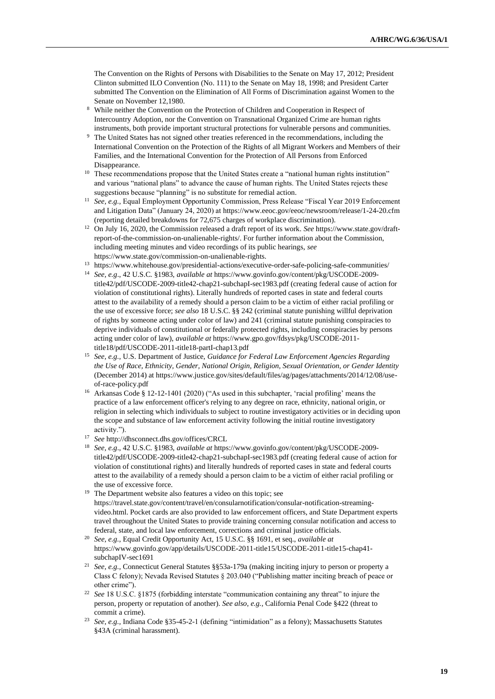The Convention on the Rights of Persons with Disabilities to the Senate on May 17, 2012; President Clinton submitted ILO Convention (No. 111) to the Senate on May 18, 1998; and President Carter submitted The Convention on the Elimination of All Forms of Discrimination against Women to the Senate on November 12,1980.

- <sup>8</sup> While neither the Convention on the Protection of Children and Cooperation in Respect of Intercountry Adoption, nor the Convention on Transnational Organized Crime are human rights instruments, both provide important structural protections for vulnerable persons and communities.
- <sup>9</sup> The United States has not signed other treaties referenced in the recommendations, including the International Convention on the Protection of the Rights of all Migrant Workers and Members of their Families, and the International Convention for the Protection of All Persons from Enforced Disappearance.
- <sup>10</sup> These recommendations propose that the United States create a "national human rights institution" and various "national plans" to advance the cause of human rights. The United States rejects these suggestions because "planning" is no substitute for remedial action.
- <sup>11</sup> See, e.g., Equal Employment Opportunity Commission, Press Release "Fiscal Year 2019 Enforcement and Litigation Data" (January 24, 2020) at<https://www.eeoc.gov/eeoc/newsroom/release/1-24-20.cfm> (reporting detailed breakdowns for 72,675 charges of workplace discrimination).
- <sup>12</sup> On July 16, 2020, the Commission released a draft report of its work. *See* [https://www.state.gov/draft](https://www.state.gov/draft-report-of-the-commission-on-unalienable-rights/)[report-of-the-commission-on-unalienable-rights/.](https://www.state.gov/draft-report-of-the-commission-on-unalienable-rights/) For further information about the Commission, including meeting minutes and video recordings of its public hearings, *see* https://www.state.gov/commission-on-unalienable-rights.
- <sup>13</sup> <https://www.whitehouse.gov/presidential-actions/executive-order-safe-policing-safe-communities/>
- <sup>14</sup> *See, e.g*., 42 U.S.C. §1983, *available at* https://www.govinfo.gov/content/pkg/USCODE-2009 title42/pdf/USCODE-2009-title42-chap21-subchapI-sec1983.pdf (creating federal cause of action for violation of constitutional rights). Literally hundreds of reported cases in state and federal courts attest to the availability of a remedy should a person claim to be a victim of either racial profiling or the use of excessive force; *see also* 18 U.S.C. §§ 242 (criminal statute punishing willful deprivation of rights by someone acting under color of law) and 241 (criminal statute punishing conspiracies to deprive individuals of constitutional or federally protected rights, including conspiracies by persons acting under color of law), *available at* https://www.gpo.gov/fdsys/pkg/USCODE-2011 title18/pdf/USCODE-2011-title18-partI-chap13.pdf
- <sup>15</sup> *See, e.g.,* U.S. Department of Justice, *Guidance for Federal Law Enforcement Agencies Regarding the Use of Race, Ethnicity, Gender, National Origin, Religion, Sexual Orientation, or Gender Identity* (December 2014) at https://www.justice.gov/sites/default/files/ag/pages/attachments/2014/12/08/useof-race-policy.pdf
- <sup>16</sup> Arkansas Code § 12-12-1401 (2020) ("As used in this subchapter, 'racial profiling' means the practice of a law enforcement officer's relying to any degree on race, ethnicity, national origin, or religion in selecting which individuals to subject to routine investigatory activities or in deciding upon the scope and substance of law enforcement activity following the initial routine investigatory activity.").
- <sup>17</sup> *See* <http://dhsconnect.dhs.gov/offices/CRCL>
- <sup>18</sup> *See, e.g*., 42 U.S.C. §1983, *available at* https://www.govinfo.gov/content/pkg/USCODE-2009 title42/pdf/USCODE-2009-title42-chap21-subchapI-sec1983.pdf (creating federal cause of action for violation of constitutional rights) and literally hundreds of reported cases in state and federal courts attest to the availability of a remedy should a person claim to be a victim of either racial profiling or the use of excessive force.
- <sup>19</sup> The Department website also features a video on this topic; see [https://travel.state.gov/content/travel/en/consularnotification/consular-notification-streaming](https://travel.state.gov/content/travel/en/consularnotification/consular-notification-streaming-video.html)[video.html.](https://travel.state.gov/content/travel/en/consularnotification/consular-notification-streaming-video.html) Pocket cards are also provided to law enforcement officers, and State Department experts travel throughout the United States to provide training concerning consular notification and access to federal, state, and local law enforcement, corrections and criminal justice officials.
- <sup>20</sup> *See, e.g.,* Equal Credit Opportunity Act, 15 U.S.C. §§ 1691, et seq., *available at*  [https://www.govinfo.gov/app/details/USCODE-2011-title15/USCODE-2011-title15-chap41](https://www.govinfo.gov/app/details/USCODE-2011-title15/USCODE-2011-title15-chap41-subchapIV-sec1691) [subchapIV-sec1691](https://www.govinfo.gov/app/details/USCODE-2011-title15/USCODE-2011-title15-chap41-subchapIV-sec1691)
- <sup>21</sup> *See, e.g.,* Connecticut General Statutes §§53a-179a (making inciting injury to person or property a Class C felony); Nevada Revised Statutes § 203.040 ("Publishing matter inciting breach of peace or other crime").
- <sup>22</sup> *See* 18 U.S.C. §1875 (forbidding interstate "communication containing any threat" to injure the person, property or reputation of another). *See also, e.g.*, California Penal Code §422 (threat to commit a crime).
- <sup>23</sup> *See, e.g.,* Indiana Code §35-45-2-1 (defining "intimidation" as a felony); Massachusetts Statutes §43A (criminal harassment).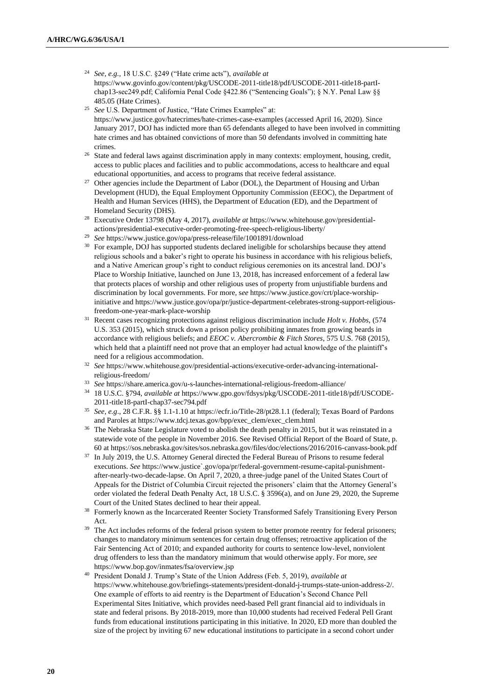- <sup>24</sup> *See, e.g.,* 18 U.S.C. §249 ("Hate crime acts"), *available at*  https://www.govinfo.gov/content/pkg/USCODE-2011-title18/pdf/USCODE-2011-title18-partIchap13-sec249.pdf; California Penal Code §422.86 ("Sentencing Goals"); § N.Y. Penal Law §§ 485.05 (Hate Crimes).
- <sup>25</sup> *See* U.S. Department of Justice, "Hate Crimes Examples" at: <https://www.justice.gov/hatecrimes/hate-crimes-case-examples> (accessed April 16, 2020). Since January 2017, DOJ has indicted more than 65 defendants alleged to have been involved in committing hate crimes and has obtained convictions of more than 50 defendants involved in committing hate crimes.
- <sup>26</sup> State and federal laws against discrimination apply in many contexts: employment, housing, credit, access to public places and facilities and to public accommodations, access to healthcare and equal educational opportunities, and access to programs that receive federal assistance.
- <sup>27</sup> Other agencies include the Department of Labor (DOL), the Department of Housing and Urban Development (HUD), the Equal Employment Opportunity Commission (EEOC), the Department of Health and Human Services (HHS), the Department of Education (ED), and the Department of Homeland Security (DHS).
- <sup>28</sup> Executive Order 13798 (May 4, 2017), *available at* [https://www.whitehouse.gov/presidential](https://www.whitehouse.gov/presidential-actions/presidential-executive-order-promoting-free-speech-religious-liberty/)[actions/presidential-executive-order-promoting-free-speech-religious-liberty/](https://www.whitehouse.gov/presidential-actions/presidential-executive-order-promoting-free-speech-religious-liberty/)
- <sup>29</sup> *See* https://www.justice.gov/opa/press-release/file/1001891/download
- <sup>30</sup> For example, DOJ has supported students declared ineligible for scholarships because they attend religious schools and a baker's right to operate his business in accordance with his religious beliefs, and a Native American group's right to conduct religious ceremonies on its ancestral land. DOJ's Place to Worship Initiative, launched on June 13, 2018, has increased enforcement of a federal law that protects places of worship and other religious uses of property from unjustifiable burdens and discrimination by local governments. For more, s*ee* [https://www.justice.gov/crt/place-worship](https://www.justice.gov/crt/place-worship-initiative)[initiative](https://www.justice.gov/crt/place-worship-initiative) and [https://www.justice.gov/opa/pr/justice-department-celebrates-strong-support-religious](https://www.justice.gov/opa/pr/justice-department-celebrates-strong-support-religious-freedom-one-year-mark-place-worship)[freedom-one-year-mark-place-worship](https://www.justice.gov/opa/pr/justice-department-celebrates-strong-support-religious-freedom-one-year-mark-place-worship)
- <sup>31</sup> Recent cases recognizing protections against religious discrimination include *Holt v. Hobbs*, (574 U.S. 353 (2015), which struck down a prison policy prohibiting inmates from growing beards in accordance with religious beliefs; and *EEOC v. Abercrombie & Fitch Stores*, 575 U.S. 768 (2015), which held that a plaintiff need not prove that an employer had actual knowledge of the plaintiff's need for a religious accommodation.
- <sup>32</sup> *See* [https://www.whitehouse.gov/presidential-actions/executive-order-advancing-international](https://www.whitehouse.gov/presidential-actions/executive-order-advancing-international-religious-freedom/)[religious-freedom/](https://www.whitehouse.gov/presidential-actions/executive-order-advancing-international-religious-freedom/)
- <sup>33</sup> *See* https://share.america.gov/u-s-launches-international-religious-freedom-alliance/
- <sup>34</sup> 18 U.S.C. §794, *available at* https://www.gpo.gov/fdsys/pkg/USCODE-2011-title18/pdf/USCODE-2011-title18-partI-chap37-sec794.pdf
- <sup>35</sup> *See, e.g*., 28 C.F.R. §§ 1.1-1.10 a[t https://ecfr.io/Title-28/pt28.1.1](https://ecfr.io/Title-28/pt28.1.1) (federal); Texas Board of Pardons and Paroles at https://www.tdcj.texas.gov/bpp/exec\_clem/exec\_clem.html
- <sup>36</sup> The Nebraska State Legislature voted to abolish the death penalty in 2015, but it was reinstated in a statewide vote of the people in November 2016. See Revised Official Report of the Board of State, p. 60 a[t https://sos.nebraska.gov/sites/sos.nebraska.gov/files/doc/elections/2016/2016-canvass-book.pdf](https://sos.nebraska.gov/sites/sos.nebraska.gov/files/doc/elections/2016/2016-canvass-book.pdf)
- <sup>37</sup> In July 2019, the U.S. Attorney General directed the Federal Bureau of Prisons to resume federal executions. *See* https://www.justice`.gov/opa/pr/federal-government-resume-capital-punishmentafter-nearly-two-decade-lapse. On April 7, 2020, a three-judge panel of the United States Court of Appeals for the District of Columbia Circuit rejected the prisoners' claim that the Attorney General's order violated the federal Death Penalty Act, 18 U.S.C. § 3596(a), and on June 29, 2020, the Supreme Court of the United States declined to hear their appeal.
- <sup>38</sup> Formerly known as the Incarcerated Reenter Society Transformed Safely Transitioning Every Person Act.
- <sup>39</sup> The Act includes reforms of the federal prison system to better promote reentry for federal prisoners; changes to mandatory minimum sentences for certain drug offenses; retroactive application of the Fair Sentencing Act of 2010; and expanded authority for courts to sentence low-level, nonviolent drug offenders to less than the mandatory minimum that would otherwise apply. For more, *see*  <https://www.bop.gov/inmates/fsa/overview.jsp>
- <sup>40</sup> President Donald J. Trump's State of the Union Address (Feb. 5, 2019), *available at* [https://www.whitehouse.gov/briefings-statements/president-donald-j-trumps-state-union-address-2/.](https://www.whitehouse.gov/briefings-statements/president-donald-j-trumps-state-union-address-2/) One example of efforts to aid reentry is the Department of Education's Second Chance Pell Experimental Sites Initiative, which provides need-based Pell grant financial aid to individuals in state and federal prisons. By 2018-2019, more than 10,000 students had received Federal Pell Grant funds from educational institutions participating in this initiative. In 2020, ED more than doubled the size of the project by inviting 67 new educational institutions to participate in a second cohort under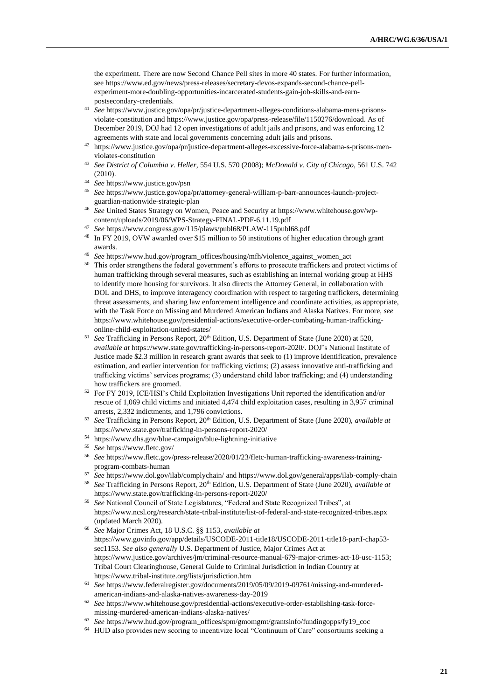the experiment. There are now Second Chance Pell sites in more 40 states. For further information, see https://www.ed.gov/news/press-releases/secretary-devos-expands-second-chance-pellexperiment-more-doubling-opportunities-incarcerated-students-gain-job-skills-and-earnpostsecondary-credentials.

- <sup>41</sup> *See* https://www.justice.gov/opa/pr/justice-department-alleges-conditions-alabama-mens-prisonsviolate-constitution and [https://www.justice.gov/opa/press-release/file/1150276/download.](https://www.justice.gov/opa/press-release/file/1150276/download) As of December 2019, DOJ had 12 open investigations of adult jails and prisons, and was enforcing 12 agreements with state and local governments concerning adult jails and prisons.
- <sup>42</sup> [https://www.justice.gov/opa/pr/justice-department-alleges-excessive-force-alabama-s-prisons-men](https://www.justice.gov/opa/pr/justice-department-alleges-excessive-force-alabama-s-prisons-men-violates-constitution)[violates-constitution](https://www.justice.gov/opa/pr/justice-department-alleges-excessive-force-alabama-s-prisons-men-violates-constitution)
- <sup>43</sup> *See District of Columbia v. Heller*, 554 U.S. 570 (2008); *McDonald v. City of Chicago*, 561 U.S. 742 (2010).
- <sup>44</sup> *See* <https://www.justice.gov/psn>
- <sup>45</sup> *See* [https://www.justice.gov/opa/pr/attorney-general-william-p-barr-announces-launch-project](https://www.justice.gov/opa/pr/attorney-general-william-p-barr-announces-launch-project-guardian-nationwide-strategic-plan)[guardian-nationwide-strategic-plan](https://www.justice.gov/opa/pr/attorney-general-william-p-barr-announces-launch-project-guardian-nationwide-strategic-plan)
- <sup>46</sup> *See* United States Strategy on Women, Peace and Security a[t https://www.whitehouse.gov/wp](https://www.whitehouse.gov/wp-content/uploads/2019/06/WPS-Strategy-FINAL-PDF-6.11.19.pdf)[content/uploads/2019/06/WPS-Strategy-FINAL-PDF-6.11.19.pdf](https://www.whitehouse.gov/wp-content/uploads/2019/06/WPS-Strategy-FINAL-PDF-6.11.19.pdf)
- <sup>47</sup> *See* <https://www.congress.gov/115/plaws/publ68/PLAW-115publ68.pdf>
- <sup>48</sup> In FY 2019, OVW awarded over \$15 million to 50 institutions of higher education through grant awards.
- <sup>49</sup> *See* https://www.hud.gov/program\_offices/housing/mfh/violence\_against\_women\_act
- <sup>50</sup> This order strengthens the federal government's efforts to prosecute traffickers and protect victims of human trafficking through several measures, such as establishing an internal working group at HHS to identify more housing for survivors. It also directs the Attorney General, in collaboration with DOL and DHS, to improve interagency coordination with respect to targeting traffickers, determining threat assessments, and sharing law enforcement intelligence and coordinate activities, as appropriate, with the Task Force on Missing and Murdered American Indians and Alaska Natives. For more, *see* [https://www.whitehouse.gov/presidential-actions/executive-order-combating-human-trafficking](https://www.whitehouse.gov/presidential-actions/executive-order-combating-human-trafficking-online-child-exploitation-united-states/)[online-child-exploitation-united-states/](https://www.whitehouse.gov/presidential-actions/executive-order-combating-human-trafficking-online-child-exploitation-united-states/)
- <sup>51</sup> See Trafficking in Persons Report, 20<sup>th</sup> Edition, U.S. Department of State (June 2020) at 520, *available at* [https://www.state.gov/trafficking-in-persons-report-2020/.](https://www.state.gov/trafficking-in-persons-report-2020/) DOJ's National Institute of Justice made \$2.3 million in research grant awards that seek to (1) improve identification, prevalence estimation, and earlier intervention for trafficking victims; (2) assess innovative anti-trafficking and trafficking victims' services programs; (3) understand child labor trafficking; and (4) understanding how traffickers are groomed.
- <sup>52</sup> For FY 2019, ICE/HSI's Child Exploitation Investigations Unit reported the identification and/or rescue of 1,069 child victims and initiated 4,474 child exploitation cases, resulting in 3,957 criminal arrests, 2,332 indictments, and 1,796 convictions.
- <sup>53</sup> *See* Trafficking in Persons Report, 20th Edition, U.S. Department of State (June 2020), *available at* <https://www.state.gov/trafficking-in-persons-report-2020/>
- <sup>54</sup> <https://www.dhs.gov/blue-campaign/blue-lightning-initiative>
- <sup>55</sup> *See* <https://www.fletc.gov/>
- <sup>56</sup> *See* [https://www.fletc.gov/press-release/2020/01/23/fletc-human-trafficking-awareness-training](https://www.fletc.gov/press-release/2020/01/23/fletc-human-trafficking-awareness-training-program-combats-human)[program-combats-human](https://www.fletc.gov/press-release/2020/01/23/fletc-human-trafficking-awareness-training-program-combats-human)
- <sup>57</sup> *See* <https://www.dol.gov/ilab/complychain/> and<https://www.dol.gov/general/apps/ilab-comply-chain>
- <sup>58</sup> *See* Trafficking in Persons Report, 20th Edition, U.S. Department of State (June 2020), *available at* <https://www.state.gov/trafficking-in-persons-report-2020/>
- <sup>59</sup> *See* National Council of State Legislatures, "Federal and State Recognized Tribes", at <https://www.ncsl.org/research/state-tribal-institute/list-of-federal-and-state-recognized-tribes.aspx> (updated March 2020).
- <sup>60</sup> *See* Major Crimes Act, 18 U.S.C. §§ 1153, *available at*  [https://www.govinfo.gov/app/details/USCODE-2011-title18/USCODE-2011-title18-partI-chap53](https://www.govinfo.gov/app/details/USCODE-2011-title18/USCODE-2011-title18-partI-chap53-sec1153) [sec1153.](https://www.govinfo.gov/app/details/USCODE-2011-title18/USCODE-2011-title18-partI-chap53-sec1153) *See also generally* U.S. Department of Justice, Major Crimes Act at [https://www.justice.gov/archives/jm/criminal-resource-manual-679-major-crimes-act-18-usc-1153;](https://www.justice.gov/archives/jm/criminal-resource-manual-679-major-crimes-act-18-usc-1153)  Tribal Court Clearinghouse, General Guide to Criminal Jurisdiction in Indian Country at https://www.tribal-institute.org/lists/jurisdiction.htm
- <sup>61</sup> *See* https://www.federalregister.gov/documents/2019/05/09/2019-09761/missing-and-murderedamerican-indians-and-alaska-natives-awareness-day-2019
- <sup>62</sup> *See* https://www.whitehouse.gov/presidential-actions/executive-order-establishing-task-forcemissing-murdered-american-indians-alaska-natives/
- <sup>63</sup> *See* [https://www.hud.gov/program\\_offices/spm/gmomgmt/grantsinfo/fundingopps/fy19\\_coc](https://www.hud.gov/program_offices/spm/gmomgmt/grantsinfo/fundingopps/fy19_coc)
- <sup>64</sup> HUD also provides new scoring to incentivize local "Continuum of Care" consortiums seeking a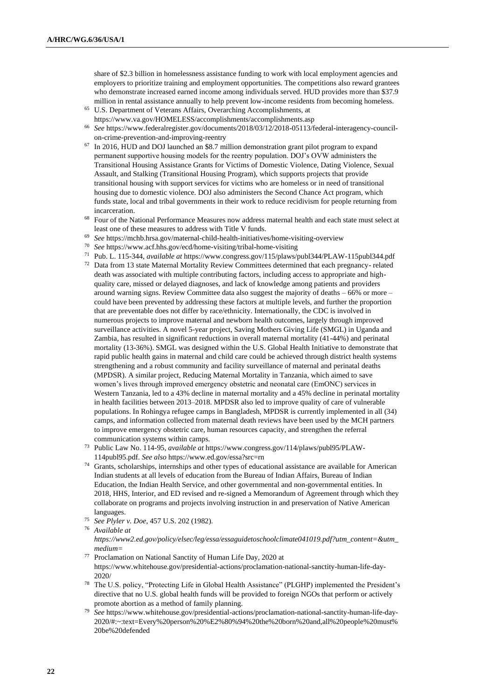share of \$2.3 billion in homelessness assistance funding to work with local employment agencies and employers to prioritize training and employment opportunities. The competitions also reward grantees who demonstrate increased earned income among individuals served. HUD provides more than \$37.9 million in rental assistance annually to help prevent low-income residents from becoming homeless.

- <sup>65</sup> U.S. Department of Veterans Affairs, Overarching Accomplishments, at https://www.va.gov/HOMELESS/accomplishments/accomplishments.asp
- <sup>66</sup> *See* [https://www.federalregister.gov/documents/2018/03/12/2018-05113/federal-interagency-council](https://www.federalregister.gov/documents/2018/03/12/2018-05113/federal-interagency-council-on-crime-prevention-and-improving-reentry)[on-crime-prevention-and-improving-reentry](https://www.federalregister.gov/documents/2018/03/12/2018-05113/federal-interagency-council-on-crime-prevention-and-improving-reentry)
- <sup>67</sup> In 2016, HUD and DOJ launched an \$8.7 million demonstration grant pilot program to expand permanent supportive housing models for the reentry population. DOJ's OVW administers the Transitional Housing Assistance Grants for Victims of Domestic Violence, Dating Violence, Sexual Assault, and Stalking (Transitional Housing Program), which supports projects that provide transitional housing with support services for victims who are homeless or in need of transitional housing due to domestic violence. DOJ also administers the Second Chance Act program, which funds state, local and tribal governments in their work to reduce recidivism for people returning from incarceration.
- <sup>68</sup> Four of the National Performance Measures now address maternal health and each state must select at least one of these measures to address with Title V funds.
- <sup>69</sup> *See* <https://mchb.hrsa.gov/maternal-child-health-initiatives/home-visiting-overview>
- <sup>70</sup> *See* <https://www.acf.hhs.gov/ecd/home-visiting/tribal-home-visiting>
- <sup>71</sup> Pub. L. 115-344, *available at* https://www.congress.gov/115/plaws/publ344/PLAW-115publ344.pdf
- <sup>72</sup> Data from 13 state Maternal Mortality Review Committees determined that each pregnancy- related death was associated with multiple contributing factors, including access to appropriate and highquality care, missed or delayed diagnoses, and lack of knowledge among patients and providers around warning signs. Review Committee data also suggest the majority of deaths – 66% or more – could have been prevented by addressing these factors at multiple levels, and further the proportion that are preventable does not differ by race/ethnicity. Internationally, the CDC is involved in numerous projects to improve maternal and newborn health outcomes, largely through improved surveillance activities. A novel 5-year project, Saving Mothers Giving Life (SMGL) in Uganda and Zambia, has resulted in significant reductions in overall maternal mortality (41-44%) and perinatal mortality (13-36%). SMGL was designed within the U.S. Global Health Initiative to demonstrate that rapid public health gains in maternal and child care could be achieved through district health systems strengthening and a robust community and facility surveillance of maternal and perinatal deaths (MPDSR). A similar project, Reducing Maternal Mortality in Tanzania, which aimed to save women's lives through improved emergency obstetric and neonatal care (EmONC) services in Western Tanzania, led to a 43% decline in maternal mortality and a 45% decline in perinatal mortality in health facilities between 2013–2018. MPDSR also led to improve quality of care of vulnerable populations. In Rohingya refugee camps in Bangladesh, MPDSR is currently implemented in all (34) camps, and information collected from maternal death reviews have been used by the MCH partners to improve emergency obstetric care, human resources capacity, and strengthen the referral communication systems within camps.
- <sup>73</sup> Public Law No. 114-95, *available at* https://www.congress.gov/114/plaws/publ95/PLAW-114publ95.pdf. *See also* https://www.ed.gov/essa?src=rn
- <sup>74</sup> Grants, scholarships, internships and other types of educational assistance are available for American Indian students at all levels of education from the Bureau of Indian Affairs, Bureau of Indian Education, the Indian Health Service, and other governmental and non-governmental entities. In 2018, HHS, Interior, and ED revised and re-signed a Memorandum of Agreement through which they collaborate on programs and projects involving instruction in and preservation of Native American languages.
- <sup>75</sup> *See Plyler v. Doe*, 457 U.S. 202 (1982).

*https://www2.ed.gov/policy/elsec/leg/essa/essaguidetoschoolclimate041019.pdf?utm\_content=&utm\_ medium=*

- <sup>77</sup> Proclamation on National Sanctity of Human Life Day, 2020 at [https://www.whitehouse.gov/presidential-actions/proclamation-national-sanctity-human-life-day-](https://www.whitehouse.gov/presidential-actions/proclamation-national-sanctity-human-life-day-2020/)[2020/](https://www.whitehouse.gov/presidential-actions/proclamation-national-sanctity-human-life-day-2020/)
- <sup>78</sup> The U.S. policy, "Protecting Life in Global Health Assistance" (PLGHP) implemented the President's directive that no U.S. global health funds will be provided to foreign NGOs that perform or actively promote abortion as a method of family planning.
- <sup>79</sup> *See* https://www.whitehouse.gov/presidential-actions/proclamation-national-sanctity-human-life-day-2020/#:~:text=Every%20person%20%E2%80%94%20the%20born%20and,all%20people%20must% 20be%20defended

<sup>76</sup> *Available at*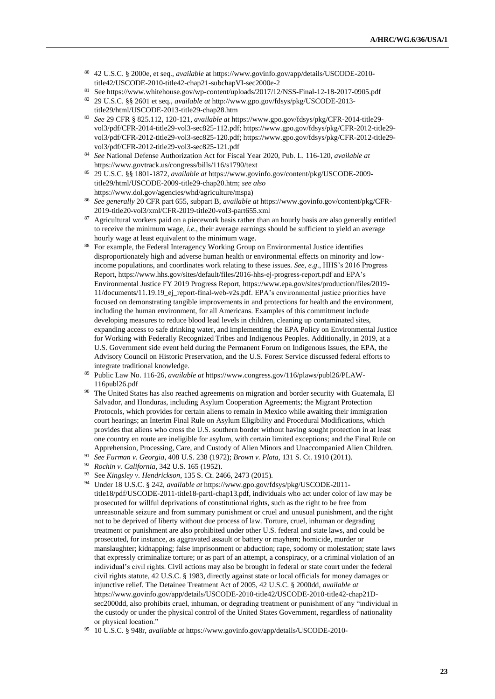- <sup>80</sup> 42 U.S.C. § 2000e, et seq., *available* at https://www.govinfo.gov/app/details/USCODE-2010 title42/USCODE-2010-title42-chap21-subchapVI-sec2000e-2
- <sup>81</sup> Se[e https://www.whitehouse.gov/wp-content/uploads/2017/12/NSS-Final-12-18-2017-0905.pdf](https://www.whitehouse.gov/wp-content/uploads/2017/12/NSS-Final-12-18-2017-0905.pdf)
- <sup>82</sup> 29 U.S.C. §§ 2601 et seq., *available at* http://www.gpo.gov/fdsys/pkg/USCODE-2013 title29/html/USCODE-2013-title29-chap28.htm
- <sup>83</sup> *See* 29 CFR § 825.112, 120-121, *available at* [https://www.gpo.gov/fdsys/pkg/CFR-2014-title29](https://www.gpo.gov/fdsys/pkg/CFR-2014-title29-vol3/pdf/CFR-2014-title29-vol3-sec825-112.pdf) [vol3/pdf/CFR-2014-title29-vol3-sec825-112.pdf;](https://www.gpo.gov/fdsys/pkg/CFR-2014-title29-vol3/pdf/CFR-2014-title29-vol3-sec825-112.pdf) [https://www.gpo.gov/fdsys/pkg/CFR-2012-title29](https://www.gpo.gov/fdsys/pkg/CFR-2012-title29-vol3/pdf/CFR-2012-title29-vol3-sec825-120.pdf) [vol3/pdf/CFR-2012-title29-vol3-sec825-120.pdf;](https://www.gpo.gov/fdsys/pkg/CFR-2012-title29-vol3/pdf/CFR-2012-title29-vol3-sec825-120.pdf) https://www.gpo.gov/fdsys/pkg/CFR-2012-title29 vol3/pdf/CFR-2012-title29-vol3-sec825-121.pdf
- <sup>84</sup> *See* National Defense Authorization Act for Fiscal Year 2020, Pub. L. 116-120, *available at*  <https://www.govtrack.us/congress/bills/116/s1790/text>
- <sup>85</sup> 29 U.S.C. §§ 1801-1872, *available at* [https://www.govinfo.gov/content/pkg/USCODE-2009](https://www.govinfo.gov/content/pkg/USCODE-2009-title29/html/USCODE-2009-title29-chap20.htm) [title29/html/USCODE-2009-title29-chap20.htm;](https://www.govinfo.gov/content/pkg/USCODE-2009-title29/html/USCODE-2009-title29-chap20.htm) *see also* [https://www.dol.gov/agencies/whd/agriculture/mspa\)](https://www.dol.gov/agencies/whd/agriculture/mspa)
- <sup>86</sup> *See generally* 20 CFR part 655, subpart B, *available at* [https://www.govinfo.gov/content/pkg/CFR-](https://www.govinfo.gov/content/pkg/CFR-2019-title20-vol3/xml/CFR-2019-title20-vol3-part655.xml)[2019-title20-vol3/xml/CFR-2019-title20-vol3-part655.xml](https://www.govinfo.gov/content/pkg/CFR-2019-title20-vol3/xml/CFR-2019-title20-vol3-part655.xml)
- <sup>87</sup> Agricultural workers paid on a piecework basis rather than an hourly basis are also generally entitled to receive the minimum wage, *i.e.*, their average earnings should be sufficient to yield an average hourly wage at least equivalent to the minimum wage.
- 88 For example, the Federal Interagency Working Group on Environmental Justice identifies disproportionately high and adverse human health or environmental effects on minority and lowincome populations, and coordinates work relating to these issues. *See, e.g*., HHS's 2016 Progress Report, https://www.hhs.gov/sites/default/files/2016-hhs-ej-progress-report.pdf and EPA's Environmental Justice FY 2019 Progress Report, https://www.epa.gov/sites/production/files/2019- 11/documents/11.19.19\_ej\_report-final-web-v2s.pdf. EPA's environmental justice priorities have focused on demonstrating tangible improvements in and protections for health and the environment, including the human environment, for all Americans. Examples of this commitment include developing measures to reduce blood lead levels in children, cleaning up contaminated sites, expanding access to safe drinking water, and implementing the [EPA Policy on Environmental Justice](https://www.epa.gov/environmentaljustice/epa-policy-environmental-justice-working-federally-recognized-tribes-and)  for [Working with Federally Recognized Tribes and Indigenous Peoples.](https://www.epa.gov/environmentaljustice/epa-policy-environmental-justice-working-federally-recognized-tribes-and) Additionally, in 2019, at a U.S. Government side event held during the Permanent Forum on Indigenous Issues, the EPA, the Advisory Council on Historic Preservation, and the U.S. Forest Service discussed federal efforts to integrate traditional knowledge.
- <sup>89</sup> Public Law No. 116-26, *available at* https://www.congress.gov/116/plaws/publ26/PLAW-116publ26.pdf
- <sup>90</sup> The United States has also reached agreements on migration and border security with Guatemala, El Salvador, and Honduras, including Asylum Cooperation Agreements; the Migrant Protection Protocols, which provides for certain aliens to remain in Mexico while awaiting their immigration court hearings; an Interim Final Rule on Asylum Eligibility and Procedural Modifications, which provides that aliens who cross the U.S. southern border without having sought protection in at least one country en route are ineligible for asylum, with certain limited exceptions; and the Final Rule on Apprehension, Processing, Care, and Custody of Alien Minors and Unaccompanied Alien Children.
- <sup>91</sup> *See Furman v. Georgia*, 408 U.S. 238 (1972); *Brown v. Plata*, 131 S. Ct. 1910 (2011).
- <sup>92</sup> *Rochin v. California*, 342 U.S. 165 (1952).
- <sup>93</sup> See *Kingsley v. Hendrickson*, 135 S. Ct. 2466, 2473 (2015).
- <sup>94</sup> Under 18 U.S.C. § 242, *available at* https://www.gpo.gov/fdsys/pkg/USCODE-2011 title18/pdf/USCODE-2011-title18-partI-chap13.pdf, individuals who act under color of law may be prosecuted for willful deprivations of constitutional rights, such as the right to be free from unreasonable seizure and from summary punishment or cruel and unusual punishment, and the right not to be deprived of liberty without due process of law. Torture, cruel, inhuman or degrading treatment or punishment are also prohibited under other U.S. federal and state laws, and could be prosecuted, for instance, as aggravated assault or battery or mayhem; homicide, murder or manslaughter; kidnapping; false imprisonment or abduction; rape, sodomy or molestation; state laws that expressly criminalize torture; or as part of an attempt, a conspiracy, or a criminal violation of an individual's civil rights. Civil actions may also be brought in federal or state court under the federal civil rights statute, 42 U.S.C. § 1983, directly against state or local officials for money damages or injunctive relief. The Detainee Treatment Act of 2005, 42 U.S.C. § 2000dd, *available at*  https://www.govinfo.gov/app/details/USCODE-2010-title42/USCODE-2010-title42-chap21Dsec2000dd, also prohibits cruel, inhuman, or degrading treatment or punishment of any "individual in the custody or under the physical control of the United States Government, regardless of nationality or physical location."
- <sup>95</sup> 10 U.S.C. § 948r, *available at* [https://www.govinfo.gov/app/details/USCODE-2010-](https://www.govinfo.gov/app/details/USCODE-2010-title10/USCODE-2010-title10-subtitleA-partII-chap47A-subchapIII-sec948r)